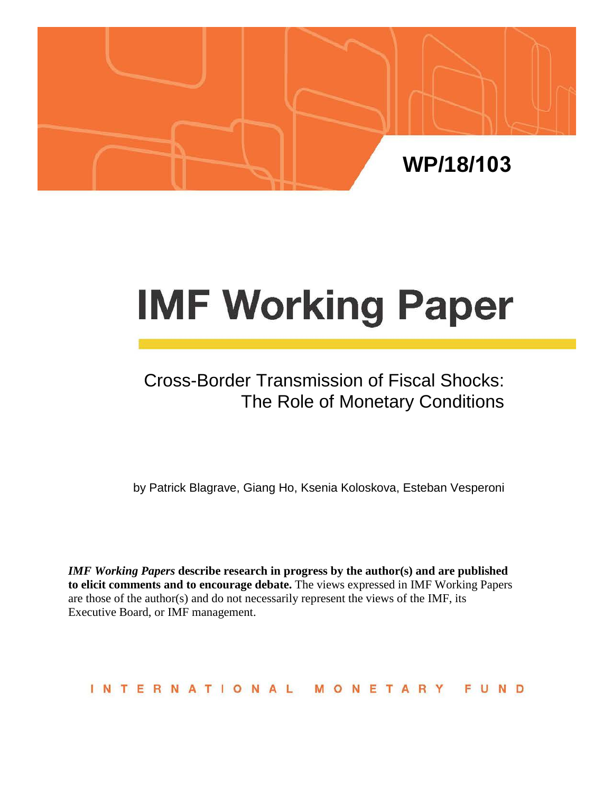

# **IMF Working Paper**

# Cross-Border Transmission of Fiscal Shocks: The Role of Monetary Conditions

by Patrick Blagrave, Giang Ho, Ksenia Koloskova, Esteban Vesperoni

*IMF Working Papers* **describe research in progress by the author(s) and are published to elicit comments and to encourage debate.** The views expressed in IMF Working Papers are those of the author(s) and do not necessarily represent the views of the IMF, its Executive Board, or IMF management.

INTERNATIONAL MONETARY FUND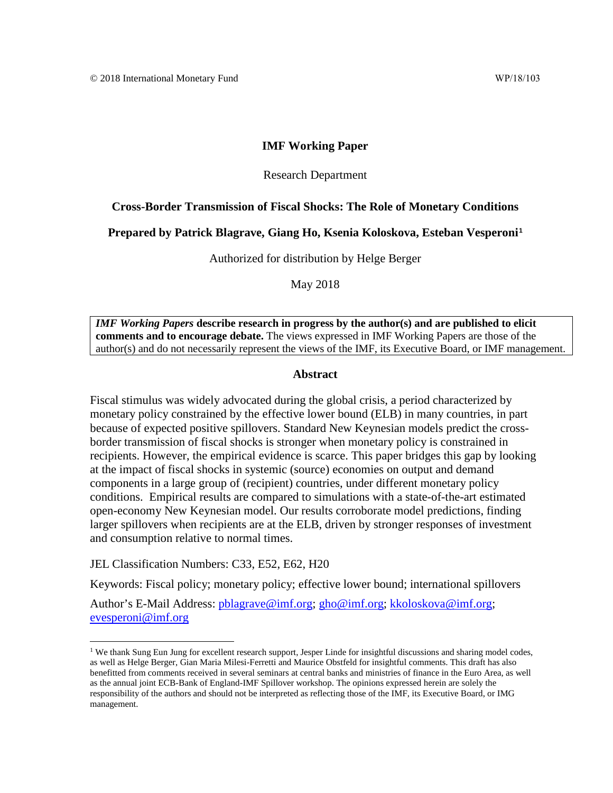#### **IMF Working Paper**

#### Research Department

#### **Cross-Border Transmission of Fiscal Shocks: The Role of Monetary Conditions**

#### **Prepared by Patrick Blagrave, Giang Ho, Ksenia Koloskova, Esteban Vesperoni[1](#page-1-0)**

Authorized for distribution by Helge Berger

May 2018

<span id="page-1-1"></span>*IMF Working Papers* **describe research in progress by the author(s) and are published to elicit comments and to encourage debate.** The views expressed in IMF Working Papers are those of the author(s) and do not necessarily represent the views of the IMF, its Executive Board, or IMF management.

#### **Abstract**

Fiscal stimulus was widely advocated during the global crisis, a period characterized by monetary policy constrained by the effective lower bound (ELB) in many countries, in part because of expected positive spillovers. Standard New Keynesian models predict the crossborder transmission of fiscal shocks is stronger when monetary policy is constrained in recipients. However, the empirical evidence is scarce. This paper bridges this gap by looking at the impact of fiscal shocks in systemic (source) economies on output and demand components in a large group of (recipient) countries, under different monetary policy conditions. Empirical results are compared to simulations with a state-of-the-art estimated open-economy New Keynesian model. Our results corroborate model predictions, finding larger spillovers when recipients are at the ELB, driven by stronger responses of investment and consumption relative to normal times.

JEL Classification Numbers: C33, E52, E62, H20

Keywords: Fiscal policy; monetary policy; effective lower bound; international spillovers

Author's E-Mail Address: [pblagrave@imf.org;](mailto:pblagrave@imf.org) [gho@imf.org;](mailto:gho@imf.org) [kkoloskova@imf.org;](mailto:kkoloskova@imf.org) [evesperoni@imf.org](mailto:evesperoni@imf.org) 

<span id="page-1-0"></span><sup>&</sup>lt;sup>1</sup> We thank Sung Eun Jung for excellent research support, Jesper Linde for insightful discussions and sharing model codes, as well as Helge Berger, Gian Maria Milesi-Ferretti and Maurice Obstfeld for insightful comments. This draft has also benefitted from comments received in several seminars at central banks and ministries of finance in the Euro Area, as well as the annual joint ECB-Bank of England-IMF Spillover workshop. The opinions expressed herein are solely the responsibility of the authors and should not be interpreted as reflecting those of the IMF, its Executive Board, or IMG management.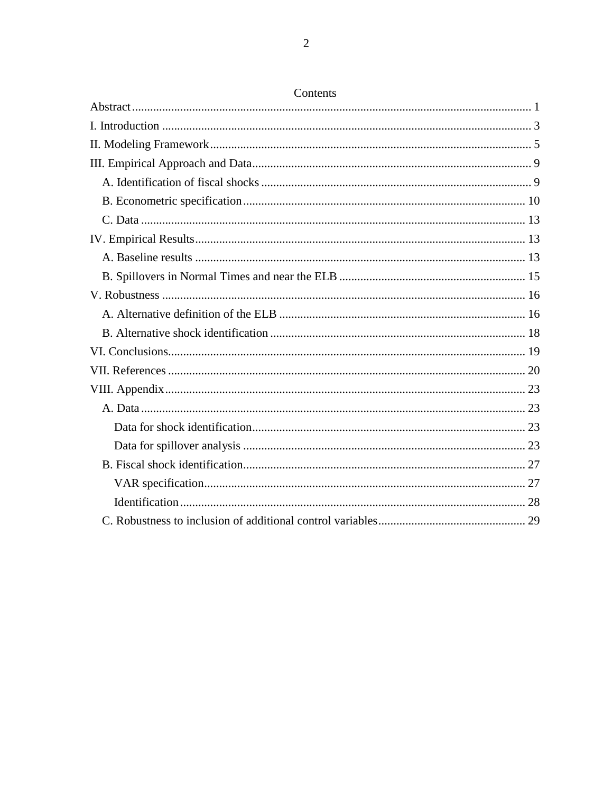# Contents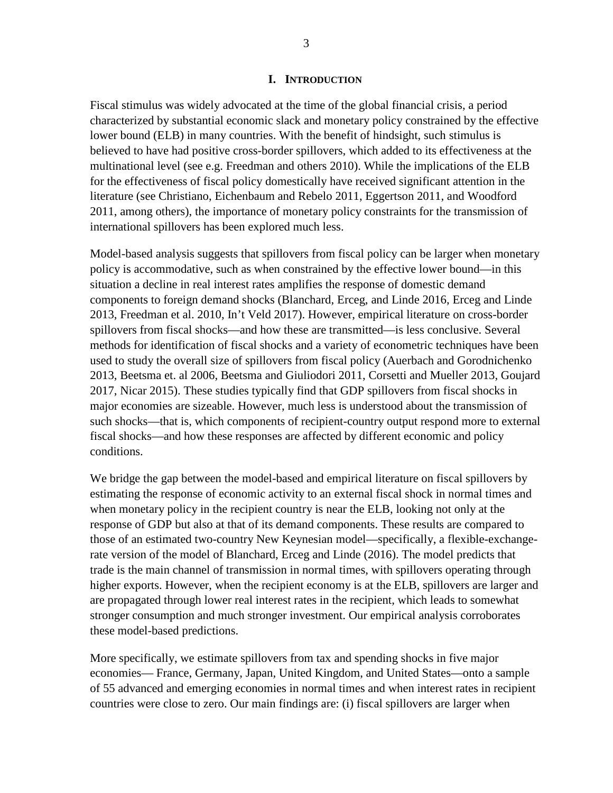#### **I. INTRODUCTION**

<span id="page-3-0"></span>Fiscal stimulus was widely advocated at the time of the global financial crisis, a period characterized by substantial economic slack and monetary policy constrained by the effective lower bound (ELB) in many countries. With the benefit of hindsight, such stimulus is believed to have had positive cross-border spillovers, which added to its effectiveness at the multinational level (see e.g. Freedman and others 2010). While the implications of the ELB for the effectiveness of fiscal policy domestically have received significant attention in the literature (see Christiano, Eichenbaum and Rebelo 2011, Eggertson 2011, and Woodford 2011, among others), the importance of monetary policy constraints for the transmission of international spillovers has been explored much less.

Model-based analysis suggests that spillovers from fiscal policy can be larger when monetary policy is accommodative, such as when constrained by the effective lower bound—in this situation a decline in real interest rates amplifies the response of domestic demand components to foreign demand shocks (Blanchard, Erceg, and Linde 2016, Erceg and Linde 2013, Freedman et al. 2010, In't Veld 2017). However, empirical literature on cross-border spillovers from fiscal shocks—and how these are transmitted—is less conclusive. Several methods for identification of fiscal shocks and a variety of econometric techniques have been used to study the overall size of spillovers from fiscal policy (Auerbach and Gorodnichenko 2013, Beetsma et. al 2006, Beetsma and Giuliodori 2011, Corsetti and Mueller 2013, Goujard 2017, Nicar 2015). These studies typically find that GDP spillovers from fiscal shocks in major economies are sizeable. However, much less is understood about the transmission of such shocks—that is, which components of recipient-country output respond more to external fiscal shocks—and how these responses are affected by different economic and policy conditions.

We bridge the gap between the model-based and empirical literature on fiscal spillovers by estimating the response of economic activity to an external fiscal shock in normal times and when monetary policy in the recipient country is near the ELB, looking not only at the response of GDP but also at that of its demand components. These results are compared to those of an estimated two-country New Keynesian model—specifically, a flexible-exchangerate version of the model of Blanchard, Erceg and Linde (2016). The model predicts that trade is the main channel of transmission in normal times, with spillovers operating through higher exports. However, when the recipient economy is at the ELB, spillovers are larger and are propagated through lower real interest rates in the recipient, which leads to somewhat stronger consumption and much stronger investment. Our empirical analysis corroborates these model-based predictions.

More specifically, we estimate spillovers from tax and spending shocks in five major economies— France, Germany, Japan, United Kingdom, and United States—onto a sample of 55 advanced and emerging economies in normal times and when interest rates in recipient countries were close to zero. Our main findings are: (i) fiscal spillovers are larger when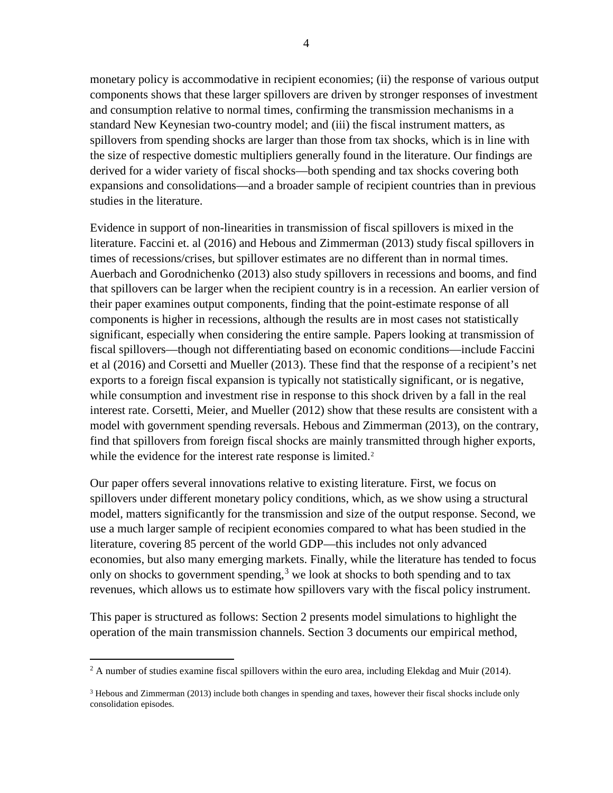monetary policy is accommodative in recipient economies; (ii) the response of various output components shows that these larger spillovers are driven by stronger responses of investment and consumption relative to normal times, confirming the transmission mechanisms in a standard New Keynesian two-country model; and (iii) the fiscal instrument matters, as spillovers from spending shocks are larger than those from tax shocks, which is in line with the size of respective domestic multipliers generally found in the literature. Our findings are derived for a wider variety of fiscal shocks—both spending and tax shocks covering both expansions and consolidations—and a broader sample of recipient countries than in previous studies in the literature.

Evidence in support of non-linearities in transmission of fiscal spillovers is mixed in the literature. Faccini et. al (2016) and Hebous and Zimmerman (2013) study fiscal spillovers in times of recessions/crises, but spillover estimates are no different than in normal times. Auerbach and Gorodnichenko (2013) also study spillovers in recessions and booms, and find that spillovers can be larger when the recipient country is in a recession. An earlier version of their paper examines output components, finding that the point-estimate response of all components is higher in recessions, although the results are in most cases not statistically significant, especially when considering the entire sample. Papers looking at transmission of fiscal spillovers—though not differentiating based on economic conditions—include Faccini et al (2016) and Corsetti and Mueller (2013). These find that the response of a recipient's net exports to a foreign fiscal expansion is typically not statistically significant, or is negative, while consumption and investment rise in response to this shock driven by a fall in the real interest rate. Corsetti, Meier, and Mueller (2012) show that these results are consistent with a model with government spending reversals. Hebous and Zimmerman (2013), on the contrary, find that spillovers from foreign fiscal shocks are mainly transmitted through higher exports, while the evidence for the interest rate response is limited.<sup>[2](#page-4-0)</sup>

Our paper offers several innovations relative to existing literature. First, we focus on spillovers under different monetary policy conditions, which, as we show using a structural model, matters significantly for the transmission and size of the output response. Second, we use a much larger sample of recipient economies compared to what has been studied in the literature, covering 85 percent of the world GDP—this includes not only advanced economies, but also many emerging markets. Finally, while the literature has tended to focus only on shocks to government spending,<sup>[3](#page-4-1)</sup> we look at shocks to both spending and to tax revenues, which allows us to estimate how spillovers vary with the fiscal policy instrument.

This paper is structured as follows: Section 2 presents model simulations to highlight the operation of the main transmission channels. Section 3 documents our empirical method,

<span id="page-4-0"></span> $2 \text{ A number of studies examine fiscal spillovers within the euro area, including Elekdag and Muir (2014).}$ 

<span id="page-4-1"></span><sup>&</sup>lt;sup>3</sup> Hebous and Zimmerman (2013) include both changes in spending and taxes, however their fiscal shocks include only consolidation episodes.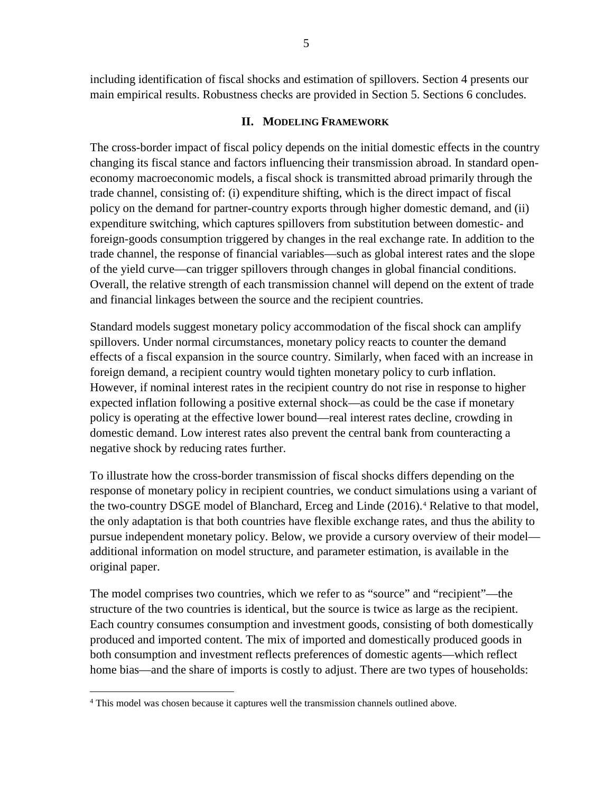including identification of fiscal shocks and estimation of spillovers. Section 4 presents our main empirical results. Robustness checks are provided in Section 5. Sections 6 concludes.

#### **II. MODELING FRAMEWORK**

<span id="page-5-0"></span>The cross-border impact of fiscal policy depends on the initial domestic effects in the country changing its fiscal stance and factors influencing their transmission abroad. In standard openeconomy macroeconomic models, a fiscal shock is transmitted abroad primarily through the trade channel, consisting of: (i) expenditure shifting, which is the direct impact of fiscal policy on the demand for partner-country exports through higher domestic demand, and (ii) expenditure switching, which captures spillovers from substitution between domestic- and foreign-goods consumption triggered by changes in the real exchange rate. In addition to the trade channel, the response of financial variables—such as global interest rates and the slope of the yield curve—can trigger spillovers through changes in global financial conditions. Overall, the relative strength of each transmission channel will depend on the extent of trade and financial linkages between the source and the recipient countries.

Standard models suggest monetary policy accommodation of the fiscal shock can amplify spillovers. Under normal circumstances, monetary policy reacts to counter the demand effects of a fiscal expansion in the source country. Similarly, when faced with an increase in foreign demand, a recipient country would tighten monetary policy to curb inflation. However, if nominal interest rates in the recipient country do not rise in response to higher expected inflation following a positive external shock—as could be the case if monetary policy is operating at the effective lower bound—real interest rates decline, crowding in domestic demand. Low interest rates also prevent the central bank from counteracting a negative shock by reducing rates further.

To illustrate how the cross-border transmission of fiscal shocks differs depending on the response of monetary policy in recipient countries, we conduct simulations using a variant of the two-country DSGE model of Blanchard, Erceg and Linde (2016).[4](#page-5-1) Relative to that model, the only adaptation is that both countries have flexible exchange rates, and thus the ability to pursue independent monetary policy. Below, we provide a cursory overview of their model additional information on model structure, and parameter estimation, is available in the original paper.

The model comprises two countries, which we refer to as "source" and "recipient"—the structure of the two countries is identical, but the source is twice as large as the recipient. Each country consumes consumption and investment goods, consisting of both domestically produced and imported content. The mix of imported and domestically produced goods in both consumption and investment reflects preferences of domestic agents—which reflect home bias—and the share of imports is costly to adjust. There are two types of households:

<span id="page-5-1"></span> <sup>4</sup> This model was chosen because it captures well the transmission channels outlined above.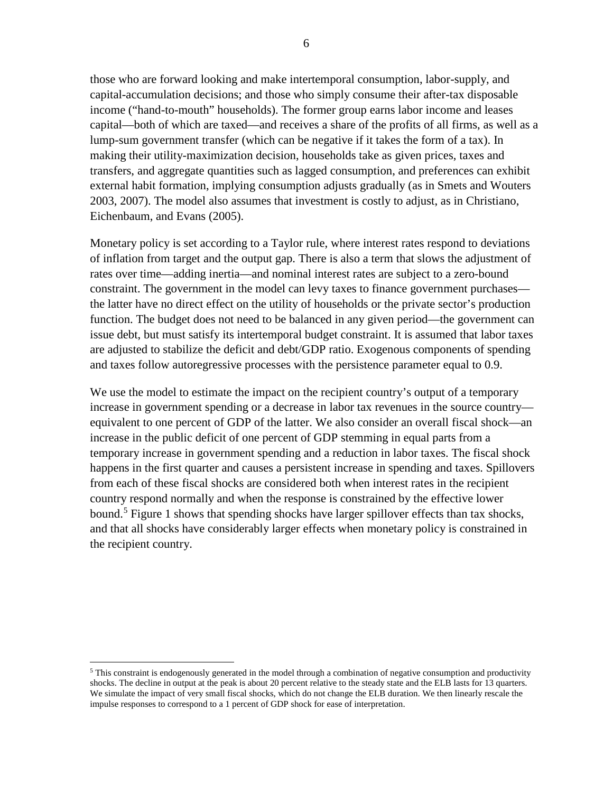those who are forward looking and make intertemporal consumption, labor-supply, and capital-accumulation decisions; and those who simply consume their after-tax disposable income ("hand-to-mouth" households). The former group earns labor income and leases capital—both of which are taxed—and receives a share of the profits of all firms, as well as a lump-sum government transfer (which can be negative if it takes the form of a tax). In making their utility-maximization decision, households take as given prices, taxes and transfers, and aggregate quantities such as lagged consumption, and preferences can exhibit external habit formation, implying consumption adjusts gradually (as in Smets and Wouters 2003, 2007). The model also assumes that investment is costly to adjust, as in Christiano, Eichenbaum, and Evans (2005).

Monetary policy is set according to a Taylor rule, where interest rates respond to deviations of inflation from target and the output gap. There is also a term that slows the adjustment of rates over time—adding inertia—and nominal interest rates are subject to a zero-bound constraint. The government in the model can levy taxes to finance government purchases the latter have no direct effect on the utility of households or the private sector's production function. The budget does not need to be balanced in any given period—the government can issue debt, but must satisfy its intertemporal budget constraint. It is assumed that labor taxes are adjusted to stabilize the deficit and debt/GDP ratio. Exogenous components of spending and taxes follow autoregressive processes with the persistence parameter equal to 0.9.

We use the model to estimate the impact on the recipient country's output of a temporary increase in government spending or a decrease in labor tax revenues in the source country equivalent to one percent of GDP of the latter. We also consider an overall fiscal shock—an increase in the public deficit of one percent of GDP stemming in equal parts from a temporary increase in government spending and a reduction in labor taxes. The fiscal shock happens in the first quarter and causes a persistent increase in spending and taxes. Spillovers from each of these fiscal shocks are considered both when interest rates in the recipient country respond normally and when the response is constrained by the effective lower bound.<sup>[5](#page-6-0)</sup> Figure 1 shows that spending shocks have larger spillover effects than tax shocks, and that all shocks have considerably larger effects when monetary policy is constrained in the recipient country.

<span id="page-6-0"></span> $5$  This constraint is endogenously generated in the model through a combination of negative consumption and productivity shocks. The decline in output at the peak is about 20 percent relative to the steady state and the ELB lasts for 13 quarters. We simulate the impact of very small fiscal shocks, which do not change the ELB duration. We then linearly rescale the impulse responses to correspond to a 1 percent of GDP shock for ease of interpretation.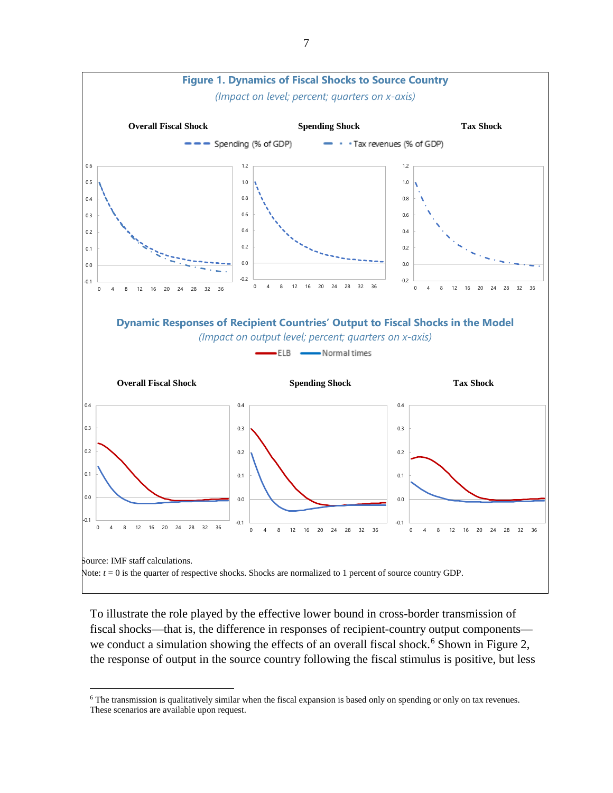

To illustrate the role played by the effective lower bound in cross-border transmission of fiscal shocks—that is, the difference in responses of recipient-country output components— we conduct a simulation showing the effects of an overall fiscal shock.<sup>[6](#page-7-0)</sup> Shown in Figure 2, the response of output in the source country following the fiscal stimulus is positive, but less

<span id="page-7-0"></span><sup>&</sup>lt;sup>6</sup> The transmission is qualitatively similar when the fiscal expansion is based only on spending or only on tax revenues. These scenarios are available upon request.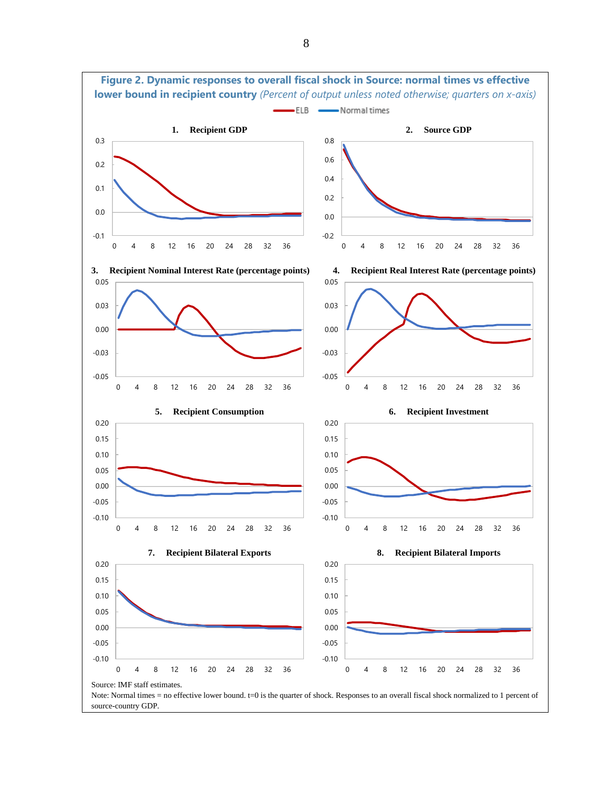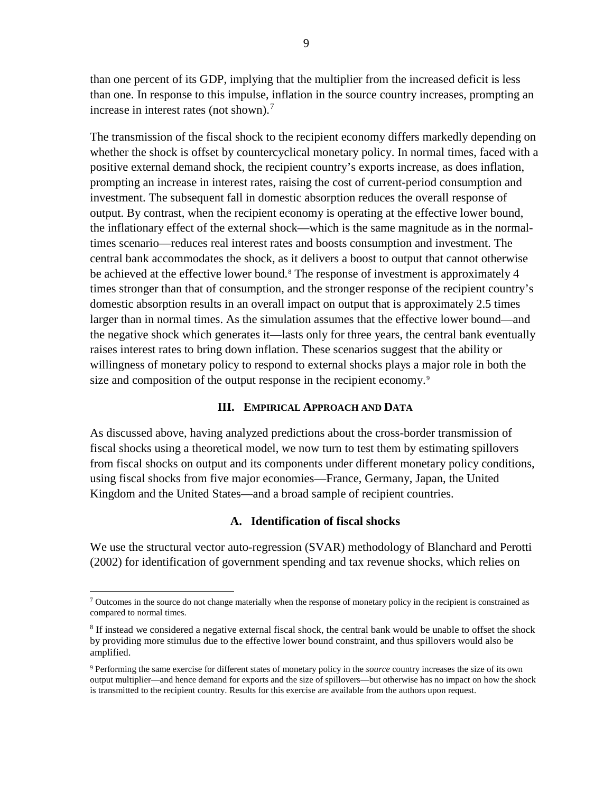than one percent of its GDP, implying that the multiplier from the increased deficit is less than one. In response to this impulse, inflation in the source country increases, prompting an increase in interest rates (not shown).<sup>[7](#page-9-2)</sup>

The transmission of the fiscal shock to the recipient economy differs markedly depending on whether the shock is offset by countercyclical monetary policy. In normal times, faced with a positive external demand shock, the recipient country's exports increase, as does inflation, prompting an increase in interest rates, raising the cost of current-period consumption and investment. The subsequent fall in domestic absorption reduces the overall response of output. By contrast, when the recipient economy is operating at the effective lower bound, the inflationary effect of the external shock—which is the same magnitude as in the normaltimes scenario—reduces real interest rates and boosts consumption and investment. The central bank accommodates the shock, as it delivers a boost to output that cannot otherwise be achieved at the effective lower bound.<sup>[8](#page-9-3)</sup> The response of investment is approximately 4 times stronger than that of consumption, and the stronger response of the recipient country's domestic absorption results in an overall impact on output that is approximately 2.5 times larger than in normal times. As the simulation assumes that the effective lower bound—and the negative shock which generates it—lasts only for three years, the central bank eventually raises interest rates to bring down inflation. These scenarios suggest that the ability or willingness of monetary policy to respond to external shocks plays a major role in both the size and composition of the output response in the recipient economy.<sup>[9](#page-9-4)</sup>

#### **III. EMPIRICAL APPROACH AND DATA**

<span id="page-9-0"></span>As discussed above, having analyzed predictions about the cross-border transmission of fiscal shocks using a theoretical model, we now turn to test them by estimating spillovers from fiscal shocks on output and its components under different monetary policy conditions, using fiscal shocks from five major economies—France, Germany, Japan, the United Kingdom and the United States—and a broad sample of recipient countries.

#### **A. Identification of fiscal shocks**

<span id="page-9-1"></span>We use the structural vector auto-regression (SVAR) methodology of Blanchard and Perotti (2002) for identification of government spending and tax revenue shocks, which relies on

<span id="page-9-2"></span> $\sigma$  Outcomes in the source do not change materially when the response of monetary policy in the recipient is constrained as compared to normal times.

<span id="page-9-3"></span><sup>&</sup>lt;sup>8</sup> If instead we considered a negative external fiscal shock, the central bank would be unable to offset the shock by providing more stimulus due to the effective lower bound constraint, and thus spillovers would also be amplified.

<span id="page-9-4"></span><sup>9</sup> Performing the same exercise for different states of monetary policy in the *source* country increases the size of its own output multiplier—and hence demand for exports and the size of spillovers—but otherwise has no impact on how the shock is transmitted to the recipient country. Results for this exercise are available from the authors upon request.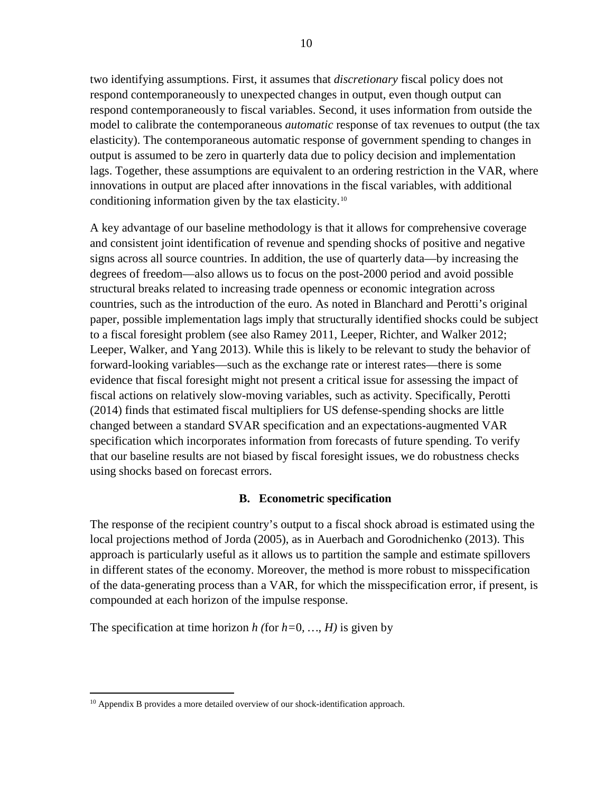two identifying assumptions. First, it assumes that *discretionary* fiscal policy does not respond contemporaneously to unexpected changes in output, even though output can respond contemporaneously to fiscal variables. Second, it uses information from outside the model to calibrate the contemporaneous *automatic* response of tax revenues to output (the tax elasticity). The contemporaneous automatic response of government spending to changes in output is assumed to be zero in quarterly data due to policy decision and implementation lags. Together, these assumptions are equivalent to an ordering restriction in the VAR, where innovations in output are placed after innovations in the fiscal variables, with additional conditioning information given by the tax elasticity.[10](#page-10-1)

A key advantage of our baseline methodology is that it allows for comprehensive coverage and consistent joint identification of revenue and spending shocks of positive and negative signs across all source countries. In addition, the use of quarterly data—by increasing the degrees of freedom—also allows us to focus on the post-2000 period and avoid possible structural breaks related to increasing trade openness or economic integration across countries, such as the introduction of the euro. As noted in Blanchard and Perotti's original paper, possible implementation lags imply that structurally identified shocks could be subject to a fiscal foresight problem (see also Ramey 2011, Leeper, Richter, and Walker 2012; Leeper, Walker, and Yang 2013). While this is likely to be relevant to study the behavior of forward-looking variables—such as the exchange rate or interest rates—there is some evidence that fiscal foresight might not present a critical issue for assessing the impact of fiscal actions on relatively slow-moving variables, such as activity. Specifically, Perotti (2014) finds that estimated fiscal multipliers for US defense-spending shocks are little changed between a standard SVAR specification and an expectations-augmented VAR specification which incorporates information from forecasts of future spending. To verify that our baseline results are not biased by fiscal foresight issues, we do robustness checks using shocks based on forecast errors.

#### **B. Econometric specification**

<span id="page-10-0"></span>The response of the recipient country's output to a fiscal shock abroad is estimated using the local projections method of Jorda (2005), as in Auerbach and Gorodnichenko (2013). This approach is particularly useful as it allows us to partition the sample and estimate spillovers in different states of the economy. Moreover, the method is more robust to misspecification of the data-generating process than a VAR, for which the misspecification error, if present, is compounded at each horizon of the impulse response.

The specification at time horizon *h* (for  $h=0, ..., H$ ) is given by

<span id="page-10-1"></span><sup>&</sup>lt;sup>10</sup> Appendix B provides a more detailed overview of our shock-identification approach.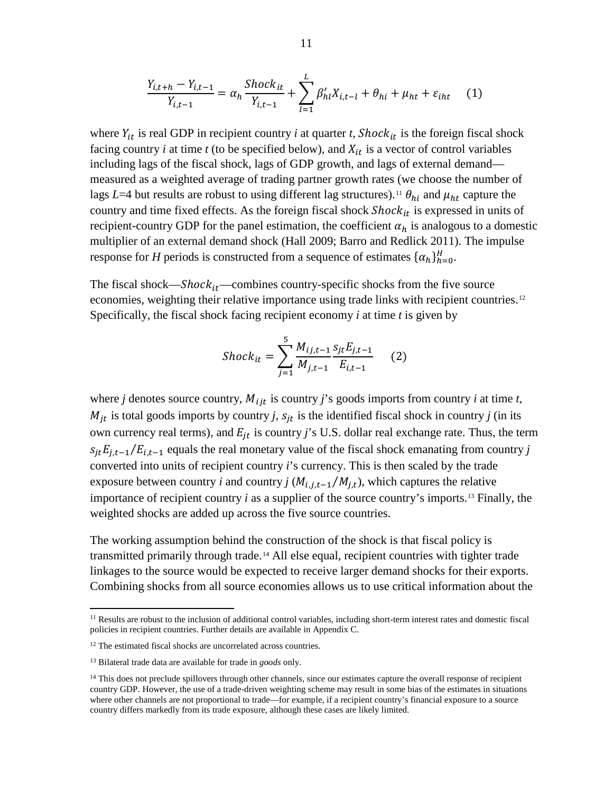$$
\frac{Y_{i,t+h} - Y_{i,t-1}}{Y_{i,t-1}} = \alpha_h \frac{Shock_{it}}{Y_{i,t-1}} + \sum_{l=1}^{L} \beta'_{hl} X_{i,t-l} + \theta_{hi} + \mu_{ht} + \varepsilon_{iht} \tag{1}
$$

where  $Y_{it}$  is real GDP in recipient country *i* at quarter *t*, *Shock*<sub>it</sub> is the foreign fiscal shock facing country  $i$  at time  $t$  (to be specified below), and  $X_{it}$  is a vector of control variables including lags of the fiscal shock, lags of GDP growth, and lags of external demand measured as a weighted average of trading partner growth rates (we choose the number of lags *L*=4 but results are robust to using different lag structures).<sup>[11](#page-11-0)</sup>  $\theta_{hi}$  and  $\mu_{ht}$  capture the country and time fixed effects. As the foreign fiscal shock  $Shock_{it}$  is expressed in units of recipient-country GDP for the panel estimation, the coefficient  $\alpha_h$  is analogous to a domestic multiplier of an external demand shock (Hall 2009; Barro and Redlick 2011). The impulse response for *H* periods is constructed from a sequence of estimates  $\{\alpha_h\}_{h=0}^H$ .

The fiscal shock— $Short_{it}$ —combines country-specific shocks from the five source economies, weighting their relative importance using trade links with recipient countries.<sup>[12](#page-11-1)</sup> Specifically, the fiscal shock facing recipient economy *i* at time *t* is given by

$$
Shock_{it} = \sum_{j=1}^{5} \frac{M_{ij,t-1}}{M_{j,t-1}} \frac{s_{jt} E_{j,t-1}}{E_{i,t-1}} \qquad (2)
$$

where *j* denotes source country,  $M_{ijt}$  is country *j*'s goods imports from country *i* at time *t*,  $M_{it}$  is total goods imports by country *j*,  $s_{it}$  is the identified fiscal shock in country *j* (in its own currency real terms), and  $E_{jt}$  is country *j*'s U.S. dollar real exchange rate. Thus, the term  $s_{it}E_{i,t-1}/E_{i,t-1}$  equals the real monetary value of the fiscal shock emanating from country *j* converted into units of recipient country *i*'s currency. This is then scaled by the trade exposure between country *i* and country *j* ( $M_{i,j,t-1}/M_{j,t}$ ), which captures the relative importance of recipient country *i* as a supplier of the source country's imports.[13](#page-11-2) Finally, the weighted shocks are added up across the five source countries.

The working assumption behind the construction of the shock is that fiscal policy is transmitted primarily through trade.<sup>[14](#page-11-3)</sup> All else equal, recipient countries with tighter trade linkages to the source would be expected to receive larger demand shocks for their exports. Combining shocks from all source economies allows us to use critical information about the

<span id="page-11-0"></span><sup>&</sup>lt;sup>11</sup> Results are robust to the inclusion of additional control variables, including short-term interest rates and domestic fiscal policies in recipient countries. Further details are available in Appendix C.

<span id="page-11-1"></span><sup>&</sup>lt;sup>12</sup> The estimated fiscal shocks are uncorrelated across countries.

<span id="page-11-2"></span><sup>13</sup> Bilateral trade data are available for trade in *goods* only.

<span id="page-11-3"></span><sup>&</sup>lt;sup>14</sup> This does not preclude spillovers through other channels, since our estimates capture the overall response of recipient country GDP. However, the use of a trade-driven weighting scheme may result in some bias of the estimates in situations where other channels are not proportional to trade—for example, if a recipient country's financial exposure to a source country differs markedly from its trade exposure, although these cases are likely limited.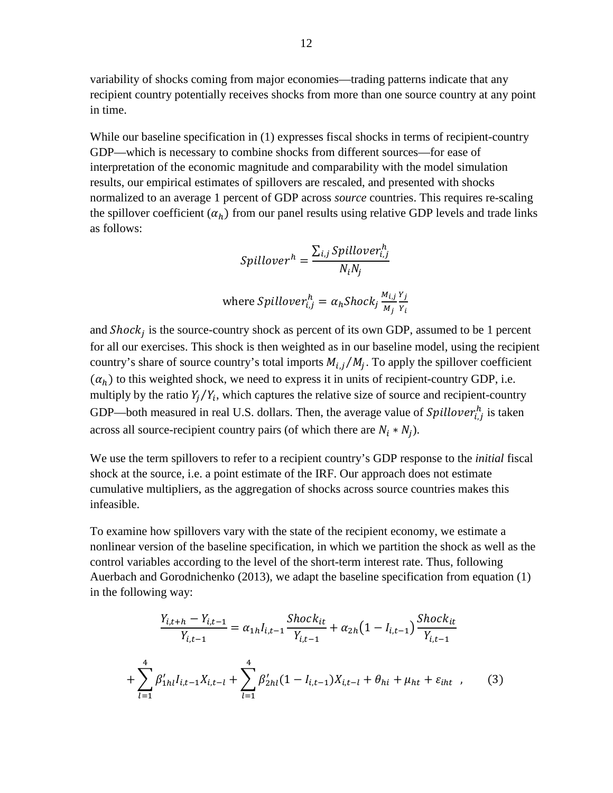variability of shocks coming from major economies—trading patterns indicate that any recipient country potentially receives shocks from more than one source country at any point in time.

While our baseline specification in (1) expresses fiscal shocks in terms of recipient-country GDP—which is necessary to combine shocks from different sources—for ease of interpretation of the economic magnitude and comparability with the model simulation results, our empirical estimates of spillovers are rescaled, and presented with shocks normalized to an average 1 percent of GDP across *source* countries. This requires re-scaling the spillover coefficient  $(\alpha_h)$  from our panel results using relative GDP levels and trade links as follows:

$$
Spilloverh = \frac{\sum_{i,j} Spillover_{i,j}^{h}}{N_i N_j}
$$

where Spillover<sub>i,j</sub><sup>h</sup> = 
$$
\alpha_h
$$
Shock<sub>j</sub>  $\frac{M_{i,j} Y_j}{M_j Y_i}$ 

and  $Shock<sub>i</sub>$  is the source-country shock as percent of its own GDP, assumed to be 1 percent for all our exercises. This shock is then weighted as in our baseline model, using the recipient country's share of source country's total imports  $M_{i,j}/M_i$ . To apply the spillover coefficient  $(\alpha_h)$  to this weighted shock, we need to express it in units of recipient-country GDP, i.e. multiply by the ratio  $Y_i/Y_i$ , which captures the relative size of source and recipient-country GDP—both measured in real U.S. dollars. Then, the average value of  $Spillover_{i,j}^{h}$  is taken across all source-recipient country pairs (of which there are  $N_i * N_j$ ).

We use the term spillovers to refer to a recipient country's GDP response to the *initial* fiscal shock at the source, i.e. a point estimate of the IRF. Our approach does not estimate cumulative multipliers, as the aggregation of shocks across source countries makes this infeasible.

To examine how spillovers vary with the state of the recipient economy, we estimate a nonlinear version of the baseline specification, in which we partition the shock as well as the control variables according to the level of the short-term interest rate. Thus, following Auerbach and Gorodnichenko (2013), we adapt the baseline specification from equation (1) in the following way:

$$
\frac{Y_{i,t+h} - Y_{i,t-1}}{Y_{i,t-1}} = \alpha_{1h} I_{i,t-1} \frac{Shock_{it}}{Y_{i,t-1}} + \alpha_{2h} (1 - I_{i,t-1}) \frac{Shock_{it}}{Y_{i,t-1}}
$$

$$
+ \sum_{l=1}^{4} \beta'_{1hl} I_{i,t-1} X_{i,t-l} + \sum_{l=1}^{4} \beta'_{2hl} (1 - I_{i,t-1}) X_{i,t-l} + \theta_{hi} + \mu_{ht} + \varepsilon_{iht} , \qquad (3)
$$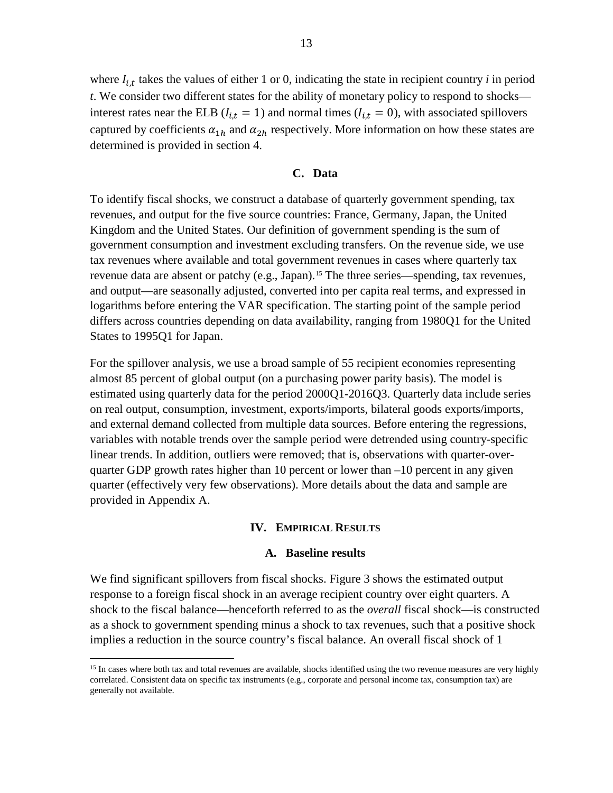where  $I_{i,t}$  takes the values of either 1 or 0, indicating the state in recipient country *i* in period *t*. We consider two different states for the ability of monetary policy to respond to shocks interest rates near the ELB ( $l_{i,t} = 1$ ) and normal times ( $l_{i,t} = 0$ ), with associated spillovers captured by coefficients  $\alpha_{1h}$  and  $\alpha_{2h}$  respectively. More information on how these states are determined is provided in section 4.

#### **C. Data**

<span id="page-13-0"></span>To identify fiscal shocks, we construct a database of quarterly government spending, tax revenues, and output for the five source countries: France, Germany, Japan, the United Kingdom and the United States. Our definition of government spending is the sum of government consumption and investment excluding transfers. On the revenue side, we use tax revenues where available and total government revenues in cases where quarterly tax revenue data are absent or patchy (e.g., Japan).<sup>[15](#page-13-3)</sup> The three series—spending, tax revenues, and output—are seasonally adjusted, converted into per capita real terms, and expressed in logarithms before entering the VAR specification. The starting point of the sample period differs across countries depending on data availability, ranging from 1980Q1 for the United States to 1995Q1 for Japan.

For the spillover analysis, we use a broad sample of 55 recipient economies representing almost 85 percent of global output (on a purchasing power parity basis). The model is estimated using quarterly data for the period 2000Q1-2016Q3. Quarterly data include series on real output, consumption, investment, exports/imports, bilateral goods exports/imports, and external demand collected from multiple data sources. Before entering the regressions, variables with notable trends over the sample period were detrended using country-specific linear trends. In addition, outliers were removed; that is, observations with quarter-overquarter GDP growth rates higher than 10 percent or lower than  $-10$  percent in any given quarter (effectively very few observations). More details about the data and sample are provided in Appendix A.

#### **IV. EMPIRICAL RESULTS**

#### **A. Baseline results**

<span id="page-13-2"></span><span id="page-13-1"></span>We find significant spillovers from fiscal shocks. Figure 3 shows the estimated output response to a foreign fiscal shock in an average recipient country over eight quarters. A shock to the fiscal balance—henceforth referred to as the *overall* fiscal shock—is constructed as a shock to government spending minus a shock to tax revenues, such that a positive shock implies a reduction in the source country's fiscal balance. An overall fiscal shock of 1

<span id="page-13-3"></span><sup>&</sup>lt;sup>15</sup> In cases where both tax and total revenues are available, shocks identified using the two revenue measures are very highly correlated. Consistent data on specific tax instruments (e.g., corporate and personal income tax, consumption tax) are generally not available.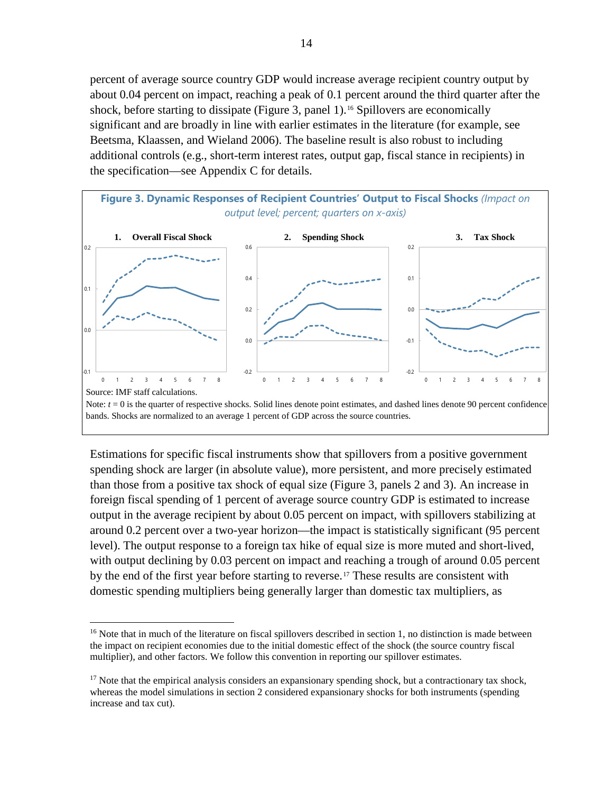percent of average source country GDP would increase average recipient country output by about 0.04 percent on impact, reaching a peak of 0.1 percent around the third quarter after the shock, before starting to dissipate (Figure 3, panel 1).<sup>[16](#page-14-0)</sup> Spillovers are economically significant and are broadly in line with earlier estimates in the literature (for example, see Beetsma, Klaassen, and Wieland 2006). The baseline result is also robust to including additional controls (e.g., short-term interest rates, output gap, fiscal stance in recipients) in the specification—see Appendix C for details.



Estimations for specific fiscal instruments show that spillovers from a positive government spending shock are larger (in absolute value), more persistent, and more precisely estimated than those from a positive tax shock of equal size (Figure 3, panels 2 and 3). An increase in foreign fiscal spending of 1 percent of average source country GDP is estimated to increase output in the average recipient by about 0.05 percent on impact, with spillovers stabilizing at around 0.2 percent over a two-year horizon—the impact is statistically significant (95 percent level). The output response to a foreign tax hike of equal size is more muted and short-lived, with output declining by 0.03 percent on impact and reaching a trough of around 0.05 percent by the end of the first year before starting to reverse.[17](#page-14-1) These results are consistent with domestic spending multipliers being generally larger than domestic tax multipliers, as

<span id="page-14-0"></span><sup>&</sup>lt;sup>16</sup> Note that in much of the literature on fiscal spillovers described in section 1, no distinction is made between the impact on recipient economies due to the initial domestic effect of the shock (the source country fiscal multiplier), and other factors. We follow this convention in reporting our spillover estimates.

<span id="page-14-1"></span><sup>&</sup>lt;sup>17</sup> Note that the empirical analysis considers an expansionary spending shock, but a contractionary tax shock, whereas the model simulations in section 2 considered expansionary shocks for both instruments (spending increase and tax cut).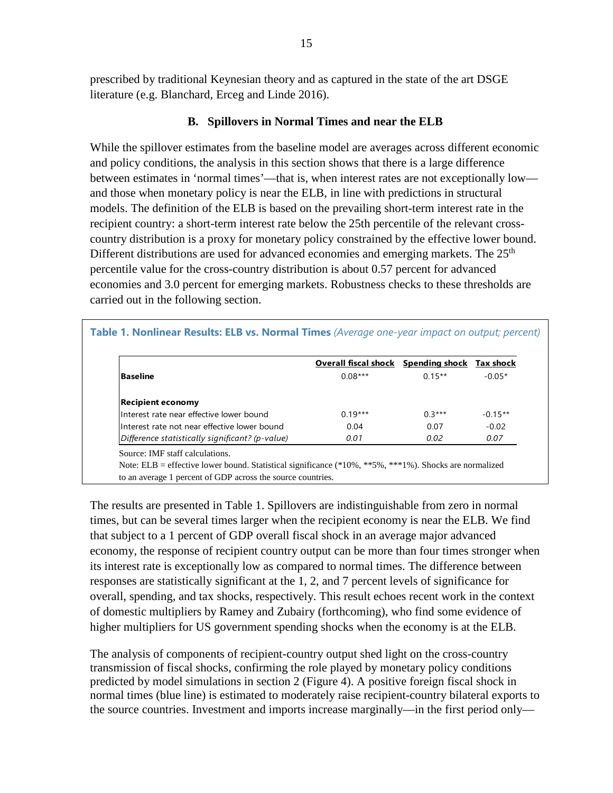prescribed by traditional Keynesian theory and as captured in the state of the art DSGE literature (e.g. Blanchard, Erceg and Linde 2016).

# **B. Spillovers in Normal Times and near the ELB**

<span id="page-15-0"></span>While the spillover estimates from the baseline model are averages across different economic and policy conditions, the analysis in this section shows that there is a large difference between estimates in 'normal times'—that is, when interest rates are not exceptionally low and those when monetary policy is near the ELB, in line with predictions in structural models. The definition of the ELB is based on the prevailing short-term interest rate in the recipient country: a short-term interest rate below the 25th percentile of the relevant crosscountry distribution is a proxy for monetary policy constrained by the effective lower bound. Different distributions are used for advanced economies and emerging markets. The  $25<sup>th</sup>$ percentile value for the cross-country distribution is about 0.57 percent for advanced economies and 3.0 percent for emerging markets. Robustness checks to these thresholds are carried out in the following section.

#### **Table 1. Nonlinear Results: ELB vs. Normal Times** *(Average one-year impact on output; percent)*

|                                                 | <b>Overall fiscal shock</b> Spending shock Tax shock |           |           |
|-------------------------------------------------|------------------------------------------------------|-----------|-----------|
| <b>Baseline</b>                                 | $0.08***$                                            | $0.15***$ | $-0.05*$  |
| <b>Recipient economy</b>                        |                                                      |           |           |
| Interest rate near effective lower bound        | $0.19***$                                            | $0.3***$  | $-0.15**$ |
| Interest rate not near effective lower bound    | 0.04                                                 | 0.07      | $-0.02$   |
| Difference statistically significant? (p-value) | 0.01                                                 | 0.02      | 0.07      |

The results are presented in Table 1. Spillovers are indistinguishable from zero in normal times, but can be several times larger when the recipient economy is near the ELB. We find that subject to a 1 percent of GDP overall fiscal shock in an average major advanced economy, the response of recipient country output can be more than four times stronger when its interest rate is exceptionally low as compared to normal times. The difference between responses are statistically significant at the 1, 2, and 7 percent levels of significance for overall, spending, and tax shocks, respectively. This result echoes recent work in the context of domestic multipliers by Ramey and Zubairy (forthcoming), who find some evidence of higher multipliers for US government spending shocks when the economy is at the ELB.

The analysis of components of recipient-country output shed light on the cross-country transmission of fiscal shocks, confirming the role played by monetary policy conditions predicted by model simulations in section 2 (Figure 4). A positive foreign fiscal shock in normal times (blue line) is estimated to moderately raise recipient-country bilateral exports to the source countries. Investment and imports increase marginally—in the first period only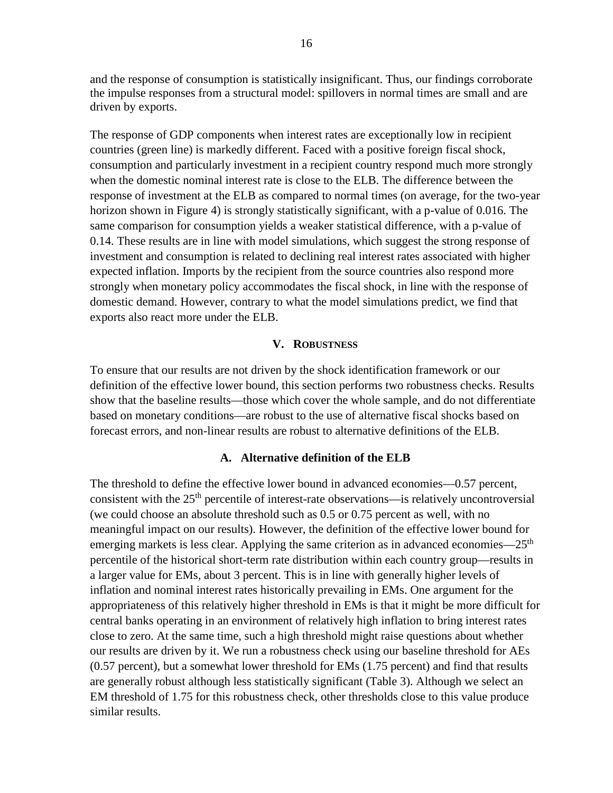and the response of consumption is statistically insignificant. Thus, our findings corroborate the impulse responses from a structural model: spillovers in normal times are small and are driven by exports.

The response of GDP components when interest rates are exceptionally low in recipient countries (green line) is markedly different. Faced with a positive foreign fiscal shock, consumption and particularly investment in a recipient country respond much more strongly when the domestic nominal interest rate is close to the ELB. The difference between the response of investment at the ELB as compared to normal times (on average, for the two-year horizon shown in Figure 4) is strongly statistically significant, with a p-value of 0.016. The same comparison for consumption yields a weaker statistical difference, with a p-value of 0.14. These results are in line with model simulations, which suggest the strong response of investment and consumption is related to declining real interest rates associated with higher expected inflation. Imports by the recipient from the source countries also respond more strongly when monetary policy accommodates the fiscal shock, in line with the response of domestic demand. However, contrary to what the model simulations predict, we find that exports also react more under the ELB.

#### **V. ROBUSTNESS**

<span id="page-16-0"></span>To ensure that our results are not driven by the shock identification framework or our definition of the effective lower bound, this section performs two robustness checks. Results show that the baseline results—those which cover the whole sample, and do not differentiate based on monetary conditions—are robust to the use of alternative fiscal shocks based on forecast errors, and non-linear results are robust to alternative definitions of the ELB.

#### **A. Alternative definition of the ELB**

<span id="page-16-1"></span>The threshold to define the effective lower bound in advanced economies—0.57 percent, consistent with the  $25<sup>th</sup>$  percentile of interest-rate observations—is relatively uncontroversial (we could choose an absolute threshold such as 0.5 or 0.75 percent as well, with no meaningful impact on our results). However, the definition of the effective lower bound for emerging markets is less clear. Applying the same criterion as in advanced economies—25<sup>th</sup> percentile of the historical short-term rate distribution within each country group—results in a larger value for EMs, about 3 percent. This is in line with generally higher levels of inflation and nominal interest rates historically prevailing in EMs. One argument for the appropriateness of this relatively higher threshold in EMs is that it might be more difficult for central banks operating in an environment of relatively high inflation to bring interest rates close to zero. At the same time, such a high threshold might raise questions about whether our results are driven by it. We run a robustness check using our baseline threshold for AEs (0.57 percent), but a somewhat lower threshold for EMs (1.75 percent) and find that results are generally robust although less statistically significant (Table 3). Although we select an EM threshold of 1.75 for this robustness check, other thresholds close to this value produce similar results.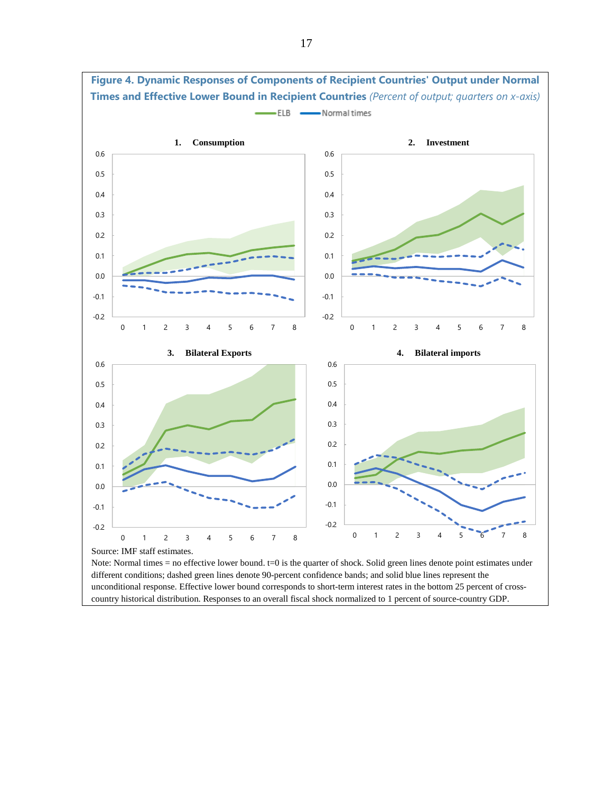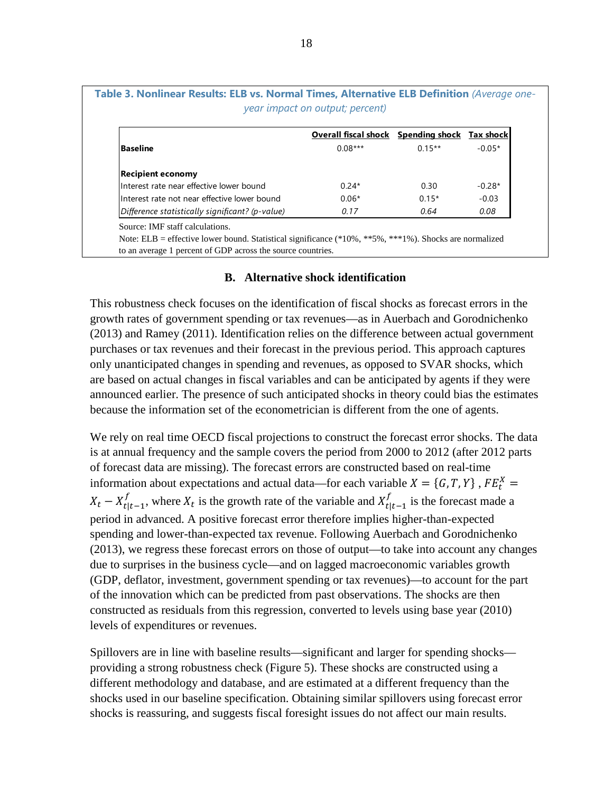| Table 3. Nonlinear Results: ELB vs. Normal Times, Alternative ELB Definition (Average on | year impact on output; percent)            |           |                  |
|------------------------------------------------------------------------------------------|--------------------------------------------|-----------|------------------|
|                                                                                          | <b>Overall fiscal shock</b> Spending shock |           | <b>Tax shock</b> |
| Baseline                                                                                 | $0.08***$                                  | $0.15***$ | $-0.05*$         |
| <b>Recipient economy</b>                                                                 |                                            |           |                  |
| Interest rate near effective lower bound                                                 | $0.24*$                                    | 0.30      | $-0.28*$         |
| Interest rate not near effective lower bound                                             | $0.06*$                                    | $0.15*$   | $-0.03$          |
| Difference statistically significant? (p-value)                                          | 0.17                                       | 0.64      | 0.08             |

Source: IMF staff calculations.

Note: ELB = effective lower bound. Statistical significance (\*10%, \*\*5%, \*\*\*1%). Shocks are normalized to an average 1 percent of GDP across the source countries.

#### **B. Alternative shock identification**

<span id="page-18-0"></span>This robustness check focuses on the identification of fiscal shocks as forecast errors in the growth rates of government spending or tax revenues—as in Auerbach and Gorodnichenko (2013) and Ramey (2011). Identification relies on the difference between actual government purchases or tax revenues and their forecast in the previous period. This approach captures only unanticipated changes in spending and revenues, as opposed to SVAR shocks, which are based on actual changes in fiscal variables and can be anticipated by agents if they were announced earlier. The presence of such anticipated shocks in theory could bias the estimates because the information set of the econometrician is different from the one of agents.

We rely on real time OECD fiscal projections to construct the forecast error shocks. The data is at annual frequency and the sample covers the period from 2000 to 2012 (after 2012 parts of forecast data are missing). The forecast errors are constructed based on real-time information about expectations and actual data—for each variable  $X = \{G, T, Y\}$ ,  $FE_t^X =$  $X_t - X_{t|t-1}^f$ , where  $X_t$  is the growth rate of the variable and  $X_{t|t-1}^f$  is the forecast made a period in advanced. A positive forecast error therefore implies higher-than-expected spending and lower-than-expected tax revenue. Following Auerbach and Gorodnichenko (2013), we regress these forecast errors on those of output—to take into account any changes due to surprises in the business cycle—and on lagged macroeconomic variables growth (GDP, deflator, investment, government spending or tax revenues)—to account for the part of the innovation which can be predicted from past observations. The shocks are then constructed as residuals from this regression, converted to levels using base year (2010) levels of expenditures or revenues.

Spillovers are in line with baseline results—significant and larger for spending shocks providing a strong robustness check (Figure 5). These shocks are constructed using a different methodology and database, and are estimated at a different frequency than the shocks used in our baseline specification. Obtaining similar spillovers using forecast error shocks is reassuring, and suggests fiscal foresight issues do not affect our main results.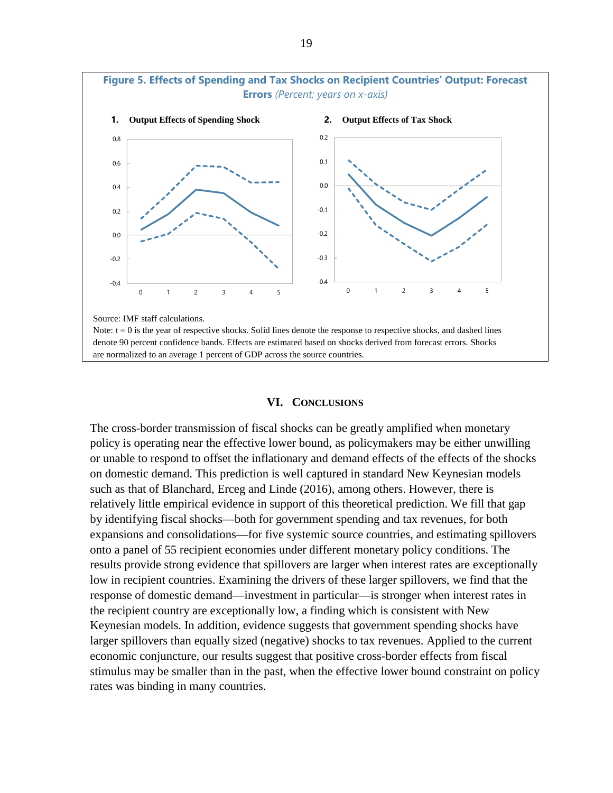

#### **VI. CONCLUSIONS**

<span id="page-19-0"></span>The cross-border transmission of fiscal shocks can be greatly amplified when monetary policy is operating near the effective lower bound, as policymakers may be either unwilling or unable to respond to offset the inflationary and demand effects of the effects of the shocks on domestic demand. This prediction is well captured in standard New Keynesian models such as that of Blanchard, Erceg and Linde (2016), among others. However, there is relatively little empirical evidence in support of this theoretical prediction. We fill that gap by identifying fiscal shocks—both for government spending and tax revenues, for both expansions and consolidations—for five systemic source countries, and estimating spillovers onto a panel of 55 recipient economies under different monetary policy conditions. The results provide strong evidence that spillovers are larger when interest rates are exceptionally low in recipient countries. Examining the drivers of these larger spillovers, we find that the response of domestic demand—investment in particular—is stronger when interest rates in the recipient country are exceptionally low, a finding which is consistent with New Keynesian models. In addition, evidence suggests that government spending shocks have larger spillovers than equally sized (negative) shocks to tax revenues. Applied to the current economic conjuncture, our results suggest that positive cross-border effects from fiscal stimulus may be smaller than in the past, when the effective lower bound constraint on policy rates was binding in many countries.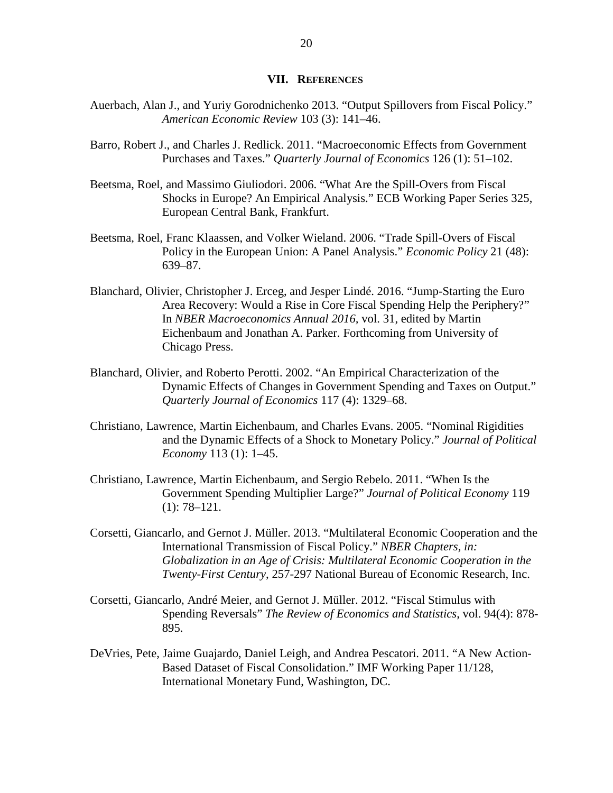#### **VII. REFERENCES**

- <span id="page-20-0"></span>Auerbach, Alan J., and Yuriy Gorodnichenko 2013. "Output Spillovers from Fiscal Policy." *American Economic Review* 103 (3): 141–46.
- Barro, Robert J., and Charles J. Redlick. 2011. "Macroeconomic Effects from Government Purchases and Taxes." *Quarterly Journal of Economics* 126 (1): 51–102.
- Beetsma, Roel, and Massimo Giuliodori. 2006. "What Are the Spill-Overs from Fiscal Shocks in Europe? An Empirical Analysis." ECB Working Paper Series 325, European Central Bank, Frankfurt.
- Beetsma, Roel, Franc Klaassen, and Volker Wieland. 2006. "Trade Spill-Overs of Fiscal Policy in the European Union: A Panel Analysis." *Economic Policy* 21 (48): 639–87.
- Blanchard, Olivier, Christopher J. Erceg, and Jesper Lindé. 2016. "Jump-Starting the Euro Area Recovery: Would a Rise in Core Fiscal Spending Help the Periphery?" In *NBER Macroeconomics Annual 2016,* vol. 31, edited by Martin Eichenbaum and Jonathan A. Parker. Forthcoming from University of Chicago Press.
- Blanchard, Olivier, and Roberto Perotti. 2002. "An Empirical Characterization of the Dynamic Effects of Changes in Government Spending and Taxes on Output." *Quarterly Journal of Economics* 117 (4): 1329–68.
- Christiano, Lawrence, Martin Eichenbaum, and Charles Evans. 2005. "Nominal Rigidities and the Dynamic Effects of a Shock to Monetary Policy." *Journal of Political Economy* 113 (1): 1–45.
- Christiano, Lawrence, Martin Eichenbaum, and Sergio Rebelo. 2011. "When Is the Government Spending Multiplier Large?" *Journal of Political Economy* 119 (1): 78–121.
- Corsetti, Giancarlo, and Gernot J. Müller. 2013. "Multilateral Economic Cooperation and the International Transmission of Fiscal Policy." *NBER Chapters, in: Globalization in an Age of Crisis: Multilateral Economic Cooperation in the Twenty-First Century*, 257-297 National Bureau of Economic Research, Inc.
- Corsetti, Giancarlo, André Meier, and Gernot J. Müller. 2012. "Fiscal Stimulus with Spending Reversals" *The Review of Economics and Statistics*, vol. 94(4): 878- 895.
- DeVries, Pete, Jaime Guajardo, Daniel Leigh, and Andrea Pescatori. 2011. "A New Action-Based Dataset of Fiscal Consolidation." IMF Working Paper 11/128, International Monetary Fund, Washington, DC.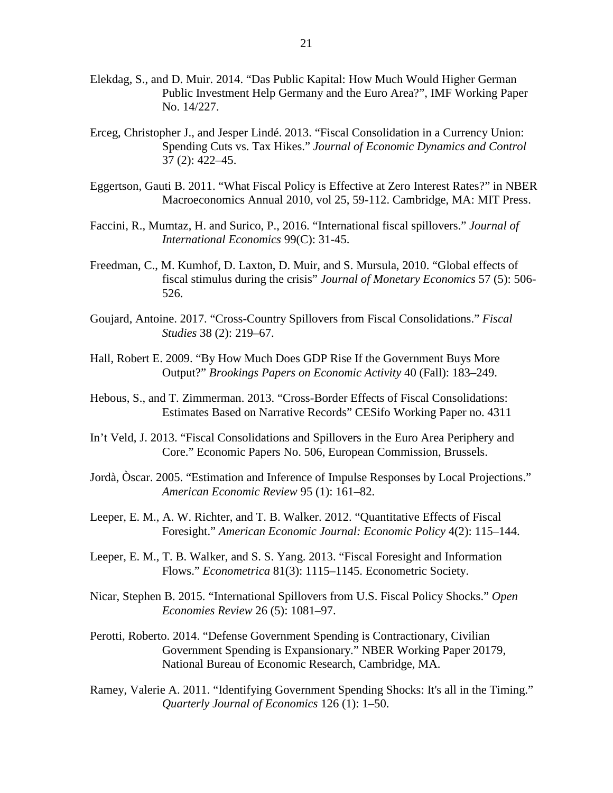- Elekdag, S., and D. Muir. 2014. "Das Public Kapital: How Much Would Higher German Public Investment Help Germany and the Euro Area?", IMF Working Paper No. 14/227.
- Erceg, Christopher J., and Jesper Lindé. 2013. "Fiscal Consolidation in a Currency Union: Spending Cuts vs. Tax Hikes." *Journal of Economic Dynamics and Control* 37 (2): 422–45.
- Eggertson, Gauti B. 2011. "What Fiscal Policy is Effective at Zero Interest Rates?" in NBER Macroeconomics Annual 2010, vol 25, 59-112. Cambridge, MA: MIT Press.
- Faccini, R., Mumtaz, H. and Surico, P., 2016. "International fiscal spillovers." *Journal of International Economics* 99(C): 31-45.
- Freedman, C., M. Kumhof, D. Laxton, D. Muir, and S. Mursula, 2010. "Global effects of fiscal stimulus during the crisis" *Journal of Monetary Economics* 57 (5): 506- 526.
- Goujard, Antoine. 2017. "Cross-Country Spillovers from Fiscal Consolidations." *Fiscal Studies* 38 (2): 219–67.
- Hall, Robert E. 2009. "By How Much Does GDP Rise If the Government Buys More Output?" *Brookings Papers on Economic Activity* 40 (Fall): 183–249.
- Hebous, S., and T. Zimmerman. 2013. "Cross-Border Effects of Fiscal Consolidations: Estimates Based on Narrative Records" CESifo Working Paper no. 4311
- In't Veld, J. 2013. "Fiscal Consolidations and Spillovers in the Euro Area Periphery and Core." Economic Papers No. 506, European Commission, Brussels.
- Jordà, Òscar. 2005. "Estimation and Inference of Impulse Responses by Local Projections." *American Economic Review* 95 (1): 161–82.
- Leeper, E. M., A. W. Richter, and T. B. Walker. 2012. "Quantitative Effects of Fiscal Foresight." *American Economic Journal: Economic Policy* 4(2): 115–144.
- Leeper, E. M., T. B. Walker, and S. S. Yang. 2013. "Fiscal Foresight and Information Flows." *Econometrica* 81(3): 1115–1145. Econometric Society.
- Nicar, Stephen B. 2015. "International Spillovers from U.S. Fiscal Policy Shocks." *Open Economies Review* 26 (5): 1081–97.
- Perotti, Roberto. 2014. "Defense Government Spending is Contractionary, Civilian Government Spending is Expansionary." NBER Working Paper 20179, National Bureau of Economic Research, Cambridge, MA.
- Ramey, Valerie A. 2011. "Identifying Government Spending Shocks: It's all in the Timing." *Quarterly Journal of Economics* 126 (1): 1–50.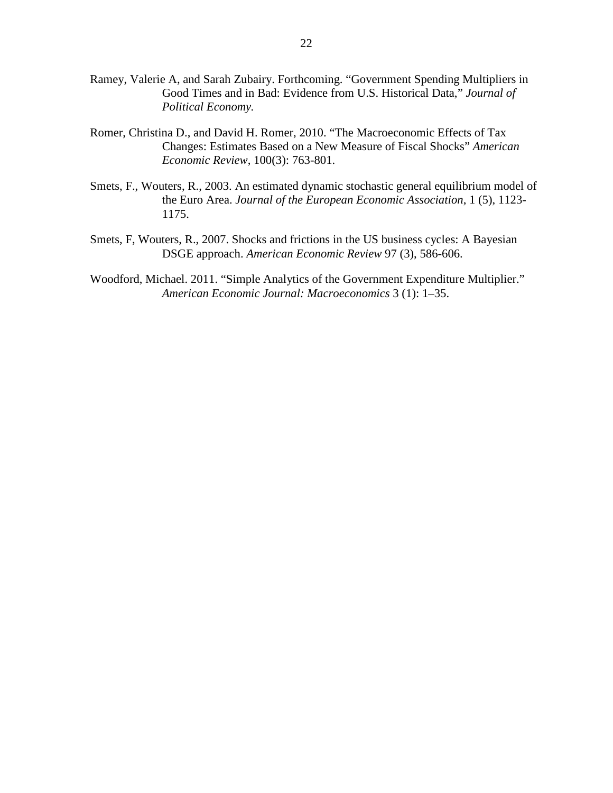- Ramey, Valerie A, and Sarah Zubairy. Forthcoming. "Government Spending Multipliers in Good Times and in Bad: Evidence from U.S. Historical Data," *Journal of Political Economy.*
- Romer, Christina D., and David H. Romer, 2010. "The Macroeconomic Effects of Tax Changes: Estimates Based on a New Measure of Fiscal Shocks" *American Economic Review*, 100(3): 763-801.
- Smets, F., Wouters, R., 2003. An estimated dynamic stochastic general equilibrium model of the Euro Area. *Journal of the European Economic Association*, 1 (5), 1123- 1175.
- Smets, F, Wouters, R., 2007. Shocks and frictions in the US business cycles: A Bayesian DSGE approach. *American Economic Review* 97 (3), 586-606.
- Woodford, Michael. 2011. "Simple Analytics of the Government Expenditure Multiplier." *American Economic Journal: Macroeconomics* 3 (1): 1–35.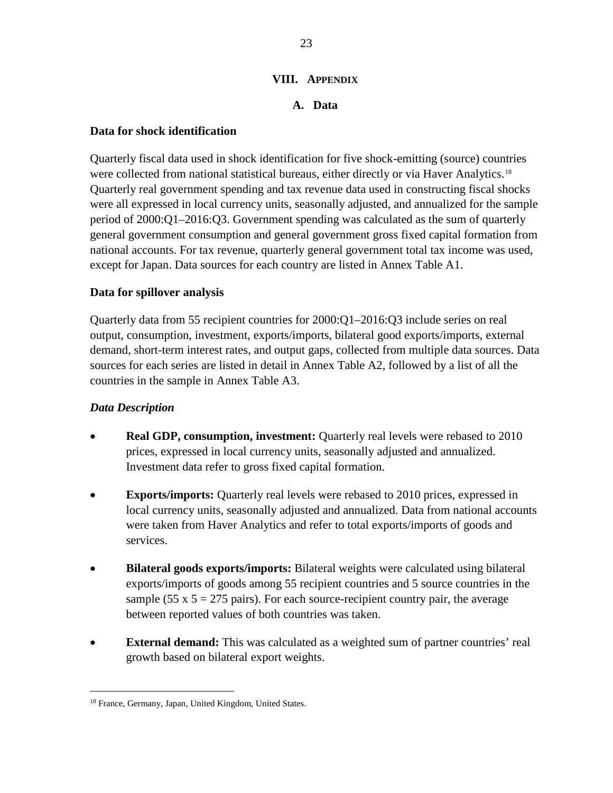# **VIII. APPENDIX**

# **A. Data**

# <span id="page-23-2"></span><span id="page-23-1"></span><span id="page-23-0"></span>**Data for shock identification**

Quarterly fiscal data used in shock identification for five shock-emitting (source) countries were collected from national statistical bureaus, either directly or via Haver Analytics.<sup>[18](#page-23-4)</sup> Quarterly real government spending and tax revenue data used in constructing fiscal shocks were all expressed in local currency units, seasonally adjusted, and annualized for the sample period of 2000:Q1–2016:Q3. Government spending was calculated as the sum of quarterly general government consumption and general government gross fixed capital formation from national accounts. For tax revenue, quarterly general government total tax income was used, except for Japan. Data sources for each country are listed in Annex Table A1.

# <span id="page-23-3"></span>**Data for spillover analysis**

Quarterly data from 55 recipient countries for 2000:Q1–2016:Q3 include series on real output, consumption, investment, exports/imports, bilateral good exports/imports, external demand, short-term interest rates, and output gaps, collected from multiple data sources. Data sources for each series are listed in detail in Annex Table A2, followed by a list of all the countries in the sample in Annex Table A3.

# *Data Description*

- **Real GDP, consumption, investment:** Quarterly real levels were rebased to 2010 prices, expressed in local currency units, seasonally adjusted and annualized. Investment data refer to gross fixed capital formation.
- **Exports/imports:** Quarterly real levels were rebased to 2010 prices, expressed in local currency units, seasonally adjusted and annualized. Data from national accounts were taken from Haver Analytics and refer to total exports/imports of goods and services.
- **Bilateral goods exports/imports:** Bilateral weights were calculated using bilateral exports/imports of goods among 55 recipient countries and 5 source countries in the sample (55 x  $5 = 275$  pairs). For each source-recipient country pair, the average between reported values of both countries was taken.
- **External demand:** This was calculated as a weighted sum of partner countries' real growth based on bilateral export weights.

<span id="page-23-4"></span> <sup>18</sup> France, Germany, Japan, United Kingdom, United States.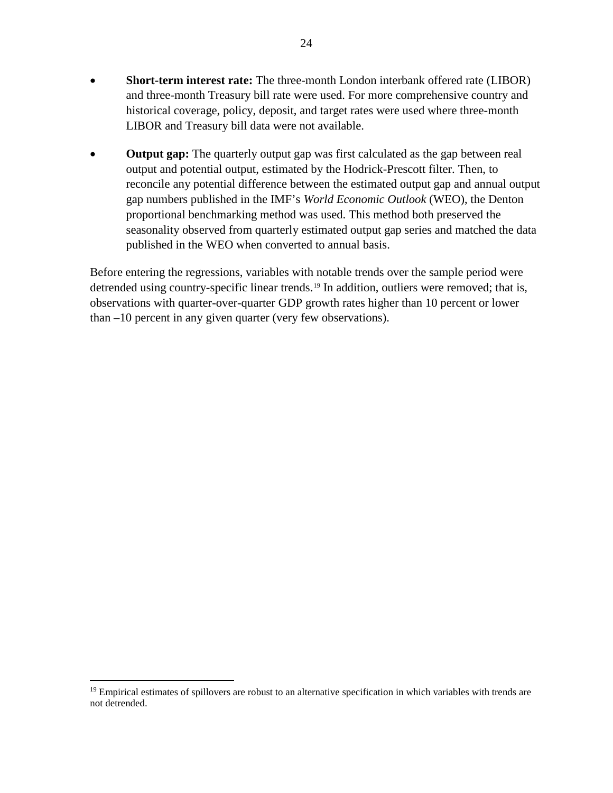- **Short-term interest rate:** The three-month London interbank offered rate (LIBOR) and three-month Treasury bill rate were used. For more comprehensive country and historical coverage, policy, deposit, and target rates were used where three-month LIBOR and Treasury bill data were not available.
- **Output gap:** The quarterly output gap was first calculated as the gap between real output and potential output, estimated by the Hodrick-Prescott filter. Then, to reconcile any potential difference between the estimated output gap and annual output gap numbers published in the IMF's *World Economic Outlook* (WEO), the Denton proportional benchmarking method was used. This method both preserved the seasonality observed from quarterly estimated output gap series and matched the data published in the WEO when converted to annual basis.

Before entering the regressions, variables with notable trends over the sample period were detrended using country-specific linear trends.<sup>[19](#page-24-0)</sup> In addition, outliers were removed; that is, observations with quarter-over-quarter GDP growth rates higher than 10 percent or lower than –10 percent in any given quarter (very few observations).

<span id="page-24-0"></span><sup>&</sup>lt;sup>19</sup> Empirical estimates of spillovers are robust to an alternative specification in which variables with trends are not detrended.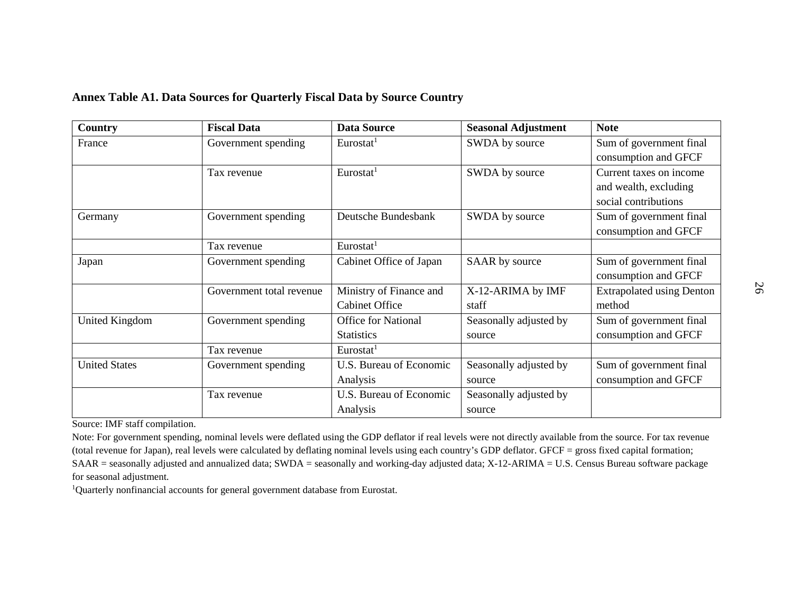#### **Annex Table A1. Data Sources for Quarterly Fiscal Data by Source Country**

| Country              | <b>Fiscal Data</b>       | <b>Data Source</b>         | <b>Seasonal Adjustment</b> | <b>Note</b>                      |
|----------------------|--------------------------|----------------------------|----------------------------|----------------------------------|
| France               | Government spending      | Eurostat <sup>1</sup>      | SWDA by source             | Sum of government final          |
|                      |                          |                            |                            | consumption and GFCF             |
|                      | Tax revenue              | Eurostat <sup>1</sup>      | SWDA by source             | Current taxes on income          |
|                      |                          |                            |                            | and wealth, excluding            |
|                      |                          |                            |                            | social contributions             |
| Germany              | Government spending      | Deutsche Bundesbank        | SWDA by source             | Sum of government final          |
|                      |                          |                            |                            | consumption and GFCF             |
|                      | Tax revenue              | Eurostat <sup>1</sup>      |                            |                                  |
| Japan                | Government spending      | Cabinet Office of Japan    | SAAR by source             | Sum of government final          |
|                      |                          |                            |                            | consumption and GFCF             |
|                      | Government total revenue | Ministry of Finance and    | X-12-ARIMA by IMF          | <b>Extrapolated using Denton</b> |
|                      |                          | <b>Cabinet Office</b>      | staff                      | method                           |
| United Kingdom       | Government spending      | <b>Office for National</b> | Seasonally adjusted by     | Sum of government final          |
|                      |                          | <b>Statistics</b>          | source                     | consumption and GFCF             |
|                      | Tax revenue              | Eurostat <sup>1</sup>      |                            |                                  |
| <b>United States</b> | Government spending      | U.S. Bureau of Economic    | Seasonally adjusted by     | Sum of government final          |
|                      |                          | Analysis                   | source                     | consumption and GFCF             |
|                      | Tax revenue              | U.S. Bureau of Economic    | Seasonally adjusted by     |                                  |
|                      |                          | Analysis                   | source                     |                                  |

Source: IMF staff compilation.

Note: For government spending, nominal levels were deflated using the GDP deflator if real levels were not directly available from the source. For tax revenue (total revenue for Japan), real levels were calculated by deflating nominal levels using each country's GDP deflator. GFCF = gross fixed capital formation; SAAR = seasonally adjusted and annualized data; SWDA = seasonally and working-day adjusted data; X-12-ARIMA = U.S. Census Bureau software package for seasonal adjustment.

<sup>1</sup>Quarterly nonfinancial accounts for general government database from Eurostat.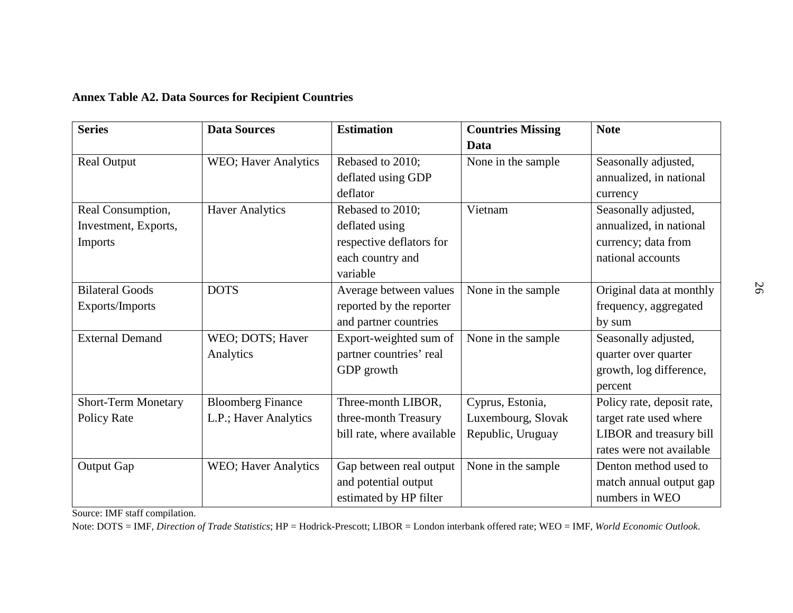|  |  |  |  |  |  |  | <b>Annex Table A2. Data Sources for Recipient Countries</b> |
|--|--|--|--|--|--|--|-------------------------------------------------------------|
|--|--|--|--|--|--|--|-------------------------------------------------------------|

| <b>Series</b>              | <b>Data Sources</b>          | <b>Estimation</b>          | <b>Countries Missing</b> | <b>Note</b>                |
|----------------------------|------------------------------|----------------------------|--------------------------|----------------------------|
|                            |                              |                            | Data                     |                            |
| <b>Real Output</b>         | <b>WEO</b> ; Haver Analytics | Rebased to 2010;           | None in the sample       | Seasonally adjusted,       |
|                            |                              | deflated using GDP         |                          | annualized, in national    |
|                            |                              | deflator                   |                          | currency                   |
| Real Consumption,          | <b>Haver Analytics</b>       | Rebased to 2010;           | Vietnam                  | Seasonally adjusted,       |
| Investment, Exports,       |                              | deflated using             |                          | annualized, in national    |
| Imports                    |                              | respective deflators for   |                          | currency; data from        |
|                            |                              | each country and           |                          | national accounts          |
|                            |                              | variable                   |                          |                            |
| <b>Bilateral Goods</b>     | <b>DOTS</b>                  | Average between values     | None in the sample       | Original data at monthly   |
| Exports/Imports            |                              | reported by the reporter   |                          | frequency, aggregated      |
|                            |                              | and partner countries      |                          | by sum                     |
| <b>External Demand</b>     | WEO; DOTS; Haver             | Export-weighted sum of     | None in the sample       | Seasonally adjusted,       |
|                            | Analytics                    | partner countries' real    |                          | quarter over quarter       |
|                            |                              | GDP growth                 |                          | growth, log difference,    |
|                            |                              |                            |                          | percent                    |
| <b>Short-Term Monetary</b> | <b>Bloomberg Finance</b>     | Three-month LIBOR,         | Cyprus, Estonia,         | Policy rate, deposit rate, |
| Policy Rate                | L.P.; Haver Analytics        | three-month Treasury       | Luxembourg, Slovak       | target rate used where     |
|                            |                              | bill rate, where available | Republic, Uruguay        | LIBOR and treasury bill    |
|                            |                              |                            |                          | rates were not available   |
| <b>Output Gap</b>          | <b>WEO</b> ; Haver Analytics | Gap between real output    | None in the sample       | Denton method used to      |
|                            |                              | and potential output       |                          | match annual output gap    |
|                            |                              | estimated by HP filter     |                          | numbers in WEO             |

Source: IMF staff compilation.

Note: DOTS = IMF, *Direction of Trade Statistics*; HP = Hodrick-Prescott; LIBOR = London interbank offered rate; WEO = IMF, *World Economic Outlook*.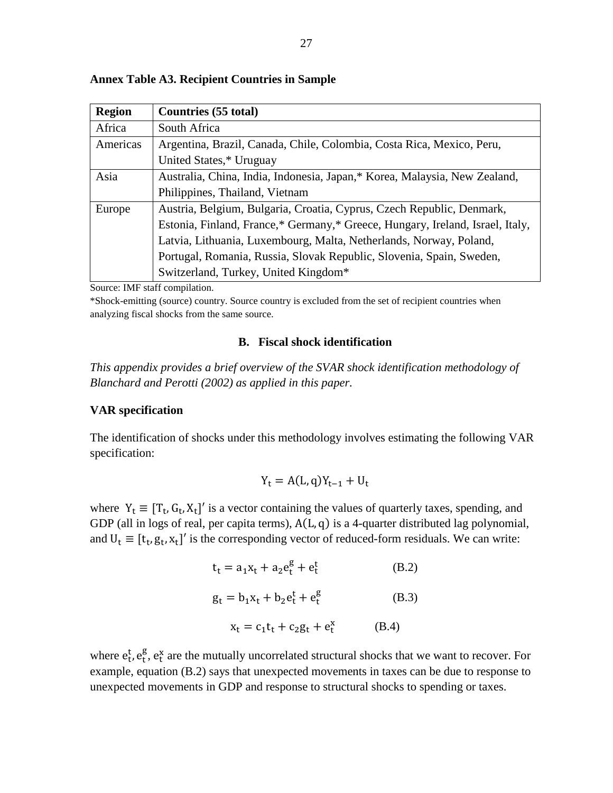| <b>Region</b> | <b>Countries (55 total)</b>                                                   |
|---------------|-------------------------------------------------------------------------------|
| Africa        | South Africa                                                                  |
| Americas      | Argentina, Brazil, Canada, Chile, Colombia, Costa Rica, Mexico, Peru,         |
|               | United States,* Uruguay                                                       |
| Asia          | Australia, China, India, Indonesia, Japan,* Korea, Malaysia, New Zealand,     |
|               | Philippines, Thailand, Vietnam                                                |
| Europe        | Austria, Belgium, Bulgaria, Croatia, Cyprus, Czech Republic, Denmark,         |
|               | Estonia, Finland, France,* Germany,* Greece, Hungary, Ireland, Israel, Italy, |
|               | Latvia, Lithuania, Luxembourg, Malta, Netherlands, Norway, Poland,            |
|               | Portugal, Romania, Russia, Slovak Republic, Slovenia, Spain, Sweden,          |
|               | Switzerland, Turkey, United Kingdom*                                          |

#### **Annex Table A3. Recipient Countries in Sample**

Source: IMF staff compilation.

\*Shock-emitting (source) country. Source country is excluded from the set of recipient countries when analyzing fiscal shocks from the same source.

#### **B. Fiscal shock identification**

<span id="page-27-0"></span>*This appendix provides a brief overview of the SVAR shock identification methodology of Blanchard and Perotti (2002) as applied in this paper.*

#### <span id="page-27-1"></span>**VAR specification**

The identification of shocks under this methodology involves estimating the following VAR specification:

$$
Y_t = A(L, q)Y_{t-1} + U_t
$$

where  $Y_t \equiv [T_t, G_t, X_t]'$  is a vector containing the values of quarterly taxes, spending, and GDP (all in logs of real, per capita terms),  $A(L, q)$  is a 4-quarter distributed lag polynomial, and  $U_t \equiv [t_t, g_t, x_t]'$  is the corresponding vector of reduced-form residuals. We can write:

$$
t_{t} = a_{1}x_{t} + a_{2}e_{t}^{g} + e_{t}^{t}
$$
 (B.2)  
\n
$$
g_{t} = b_{1}x_{t} + b_{2}e_{t}^{t} + e_{t}^{g}
$$
 (B.3)  
\n
$$
x_{t} = c_{1}t_{t} + c_{2}g_{t} + e_{t}^{x}
$$
 (B.4)

where  $e_t^t$ ,  $e_t^g$ ,  $e_t^x$  are the mutually uncorrelated structural shocks that we want to recover. For example, equation (B.2) says that unexpected movements in taxes can be due to response to unexpected movements in GDP and response to structural shocks to spending or taxes.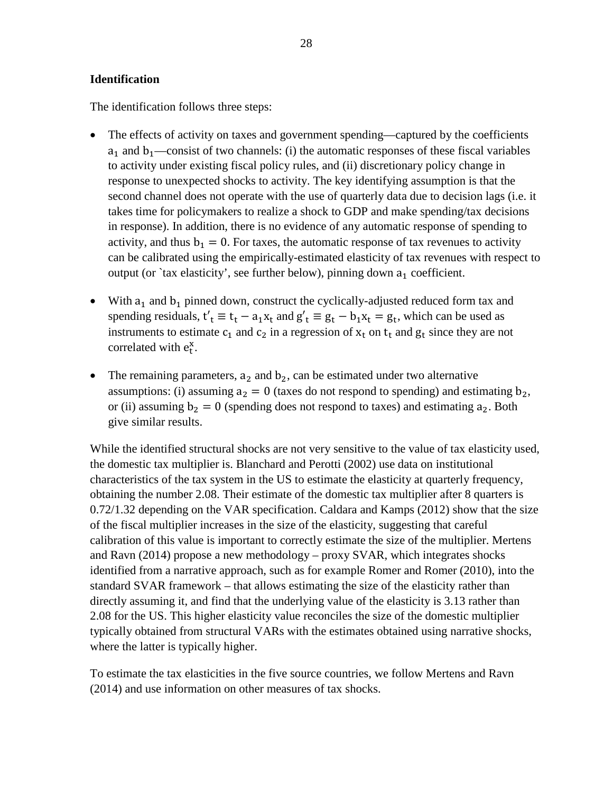#### <span id="page-28-0"></span>**Identification**

The identification follows three steps:

- The effects of activity on taxes and government spending—captured by the coefficients  $a_1$  and  $b_1$ —consist of two channels: (i) the automatic responses of these fiscal variables to activity under existing fiscal policy rules, and (ii) discretionary policy change in response to unexpected shocks to activity. The key identifying assumption is that the second channel does not operate with the use of quarterly data due to decision lags (i.e. it takes time for policymakers to realize a shock to GDP and make spending/tax decisions in response). In addition, there is no evidence of any automatic response of spending to activity, and thus  $b_1 = 0$ . For taxes, the automatic response of tax revenues to activity can be calibrated using the empirically-estimated elasticity of tax revenues with respect to output (or `tax elasticity', see further below), pinning down  $a_1$  coefficient.
- With  $a_1$  and  $b_1$  pinned down, construct the cyclically-adjusted reduced form tax and spending residuals,  $t'_t \equiv t_t - a_1x_t$  and  $g'_t \equiv g_t - b_1x_t = g_t$ , which can be used as instruments to estimate  $c_1$  and  $c_2$  in a regression of  $x_t$  on  $t_t$  and  $g_t$  since they are not correlated with  $e_t^x$ .
- The remaining parameters,  $a_2$  and  $b_2$ , can be estimated under two alternative assumptions: (i) assuming  $a_2 = 0$  (taxes do not respond to spending) and estimating  $b_2$ , or (ii) assuming  $b_2 = 0$  (spending does not respond to taxes) and estimating  $a_2$ . Both give similar results.

While the identified structural shocks are not very sensitive to the value of tax elasticity used, the domestic tax multiplier is. Blanchard and Perotti (2002) use data on institutional characteristics of the tax system in the US to estimate the elasticity at quarterly frequency, obtaining the number 2.08. Their estimate of the domestic tax multiplier after 8 quarters is 0.72/1.32 depending on the VAR specification. Caldara and Kamps (2012) show that the size of the fiscal multiplier increases in the size of the elasticity, suggesting that careful calibration of this value is important to correctly estimate the size of the multiplier. Mertens and Ravn (2014) propose a new methodology – proxy SVAR, which integrates shocks identified from a narrative approach, such as for example Romer and Romer (2010), into the standard SVAR framework – that allows estimating the size of the elasticity rather than directly assuming it, and find that the underlying value of the elasticity is 3.13 rather than 2.08 for the US. This higher elasticity value reconciles the size of the domestic multiplier typically obtained from structural VARs with the estimates obtained using narrative shocks, where the latter is typically higher.

To estimate the tax elasticities in the five source countries, we follow Mertens and Ravn (2014) and use information on other measures of tax shocks.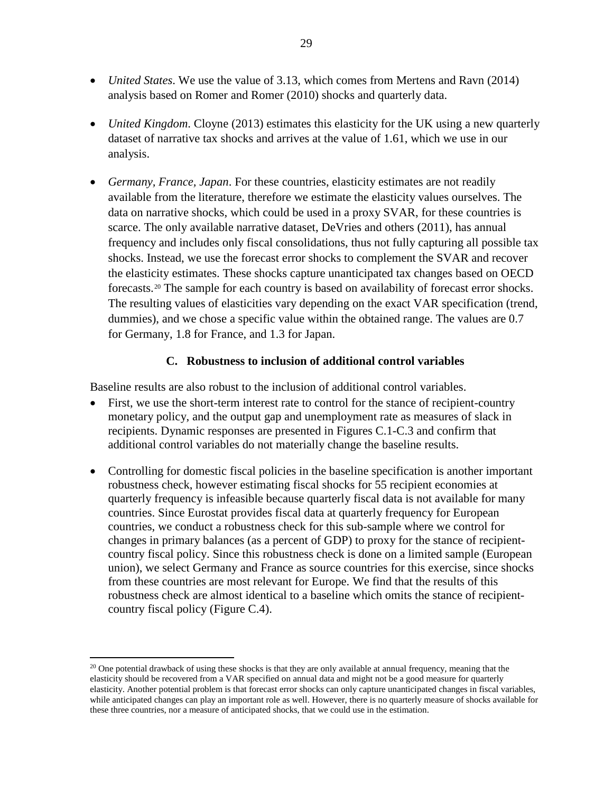- *United States*. We use the value of 3.13, which comes from Mertens and Ravn (2014) analysis based on Romer and Romer (2010) shocks and quarterly data.
- *United Kingdom.* Cloyne (2013) estimates this elasticity for the UK using a new quarterly dataset of narrative tax shocks and arrives at the value of 1.61, which we use in our analysis.
- *Germany, France, Japan*. For these countries, elasticity estimates are not readily available from the literature, therefore we estimate the elasticity values ourselves. The data on narrative shocks, which could be used in a proxy SVAR, for these countries is scarce. The only available narrative dataset, DeVries and others (2011), has annual frequency and includes only fiscal consolidations, thus not fully capturing all possible tax shocks. Instead, we use the forecast error shocks to complement the SVAR and recover the elasticity estimates. These shocks capture unanticipated tax changes based on OECD forecasts.[20](#page-29-1) The sample for each country is based on availability of forecast error shocks. The resulting values of elasticities vary depending on the exact VAR specification (trend, dummies), and we chose a specific value within the obtained range. The values are 0.7 for Germany, 1.8 for France, and 1.3 for Japan.

# **C. Robustness to inclusion of additional control variables**

<span id="page-29-0"></span>Baseline results are also robust to the inclusion of additional control variables.

- First, we use the short-term interest rate to control for the stance of recipient-country monetary policy, and the output gap and unemployment rate as measures of slack in recipients. Dynamic responses are presented in Figures C.1-C.3 and confirm that additional control variables do not materially change the baseline results.
- Controlling for domestic fiscal policies in the baseline specification is another important robustness check, however estimating fiscal shocks for 55 recipient economies at quarterly frequency is infeasible because quarterly fiscal data is not available for many countries. Since Eurostat provides fiscal data at quarterly frequency for European countries, we conduct a robustness check for this sub-sample where we control for changes in primary balances (as a percent of GDP) to proxy for the stance of recipientcountry fiscal policy. Since this robustness check is done on a limited sample (European union), we select Germany and France as source countries for this exercise, since shocks from these countries are most relevant for Europe. We find that the results of this robustness check are almost identical to a baseline which omits the stance of recipientcountry fiscal policy (Figure C.4).

<span id="page-29-1"></span><sup>&</sup>lt;sup>20</sup> One potential drawback of using these shocks is that they are only available at annual frequency, meaning that the elasticity should be recovered from a VAR specified on annual data and might not be a good measure for quarterly elasticity. Another potential problem is that forecast error shocks can only capture unanticipated changes in fiscal variables, while anticipated changes can play an important role as well. However, there is no quarterly measure of shocks available for these three countries, nor a measure of anticipated shocks, that we could use in the estimation.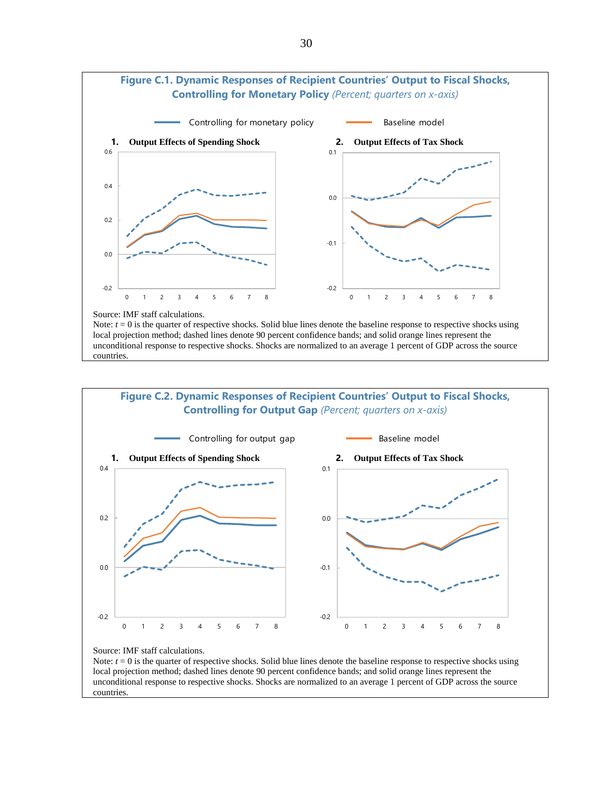

Note:  $t = 0$  is the quarter of respective shocks. Solid blue lines denote the baseline response to respective shocks using local projection method; dashed lines denote 90 percent confidence bands; and solid orange lines represent the unconditional response to respective shocks. Shocks are normalized to an average 1 percent of GDP across the source countries.



Source: IMF staff calculations.

Note:  $t = 0$  is the quarter of respective shocks. Solid blue lines denote the baseline response to respective shocks using local projection method; dashed lines denote 90 percent confidence bands; and solid orange lines represent the unconditional response to respective shocks. Shocks are normalized to an average 1 percent of GDP across the source countries.